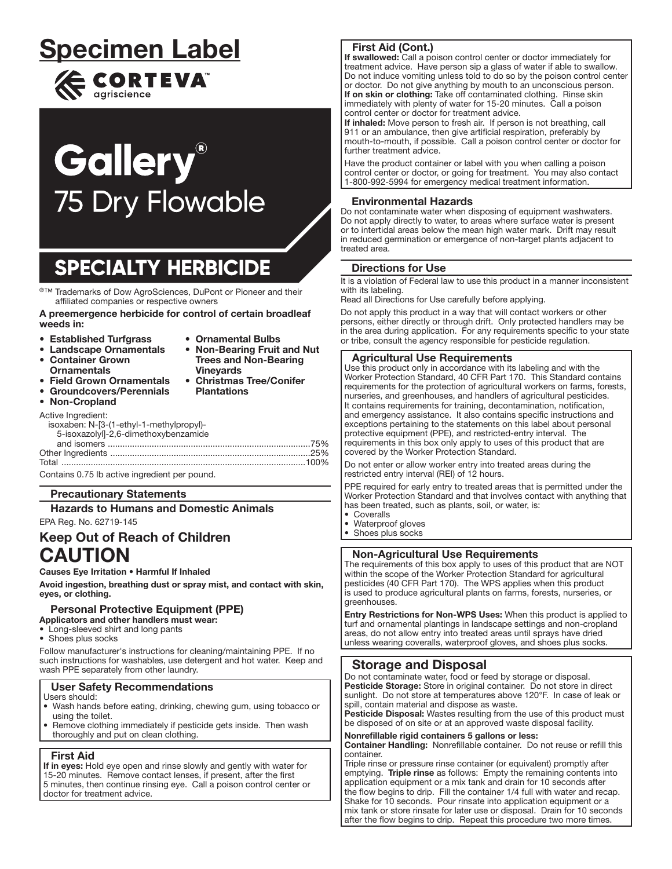# Specimen Label  $\epsilon$  CORTEVA<sup>"</sup>

# **Gallery® 75 Dry Flowable**

## **SPECIALTY HERBICIDE**

j ®™ Trademarks of Dow AgroSciences, DuPont or Pioneer and their affiliated companies or respective owners

A preemergence herbicide for control of certain broadleaf weeds in:

- Established Turfgrass
- Landscape Ornamentals
- Ornamental Bulbs • Non-Bearing Fruit and Nut Trees and Non-Bearing

**Plantations** 

- Container Grown **Ornamentals**
- **Vinevards** • Christmas Tree/Conifer
- **Field Grown Ornamentals** • Groundcovers/Perennials
- Non-Cropland  $\bullet$

| Active Ingredient:<br>isoxaben: N-[3-(1-ethyl-1-methylpropyl)- |  |
|----------------------------------------------------------------|--|
| 5-isoxazolyl]-2,6-dimethoxybenzamide                           |  |
|                                                                |  |
|                                                                |  |
|                                                                |  |
|                                                                |  |

Contains 0.75 lb active ingredient per pound.

#### Precautionary Statements

Hazards to Humans and Domestic Animals

## EPA Reg. No. 62719-145

## Keep Out of Reach of Children CAUTION

Causes Eye Irritation • Harmful If Inhaled

Avoid ingestion, breathing dust or spray mist, and contact with skin, eyes, or clothing.

#### Personal Protective Equipment (PPE) Applicators and other handlers must wear:

- Long-sleeved shirt and long pants
- Shoes plus socks

Follow manufacturer's instructions for cleaning/maintaining PPE. If no such instructions for washables, use detergent and hot water. Keep and wash PPE separately from other laundry.

## User Safety Recommendations

- Users should:
- Wash hands before eating, drinking, chewing gum, using tobacco or using the toilet.
- Remove clothing immediately if pesticide gets inside. Then wash thoroughly and put on clean clothing.

#### First Aid

If in eyes: Hold eye open and rinse slowly and gently with water for 15-20 minutes. Remove contact lenses, if present, after the first 5 minutes, then continue rinsing eye. Call a poison control center or doctor for treatment advice.

## First Aid (Cont.)

If swallowed: Call a poison control center or doctor immediately for treatment advice. Have person sip a glass of water if able to swallow. Do not induce vomiting unless told to do so by the poison control center or doctor. Do not give anything by mouth to an unconscious person. If on skin or clothing: Take off contaminated clothing. Rinse skin immediately with plenty of water for 15-20 minutes. Call a poison control center or doctor for treatment advice.

If inhaled: Move person to fresh air. If person is not breathing, call 911 or an ambulance, then give artificial respiration, preferably by mouth-to-mouth, if possible. Call a poison control center or doctor for further treatment advice.

Have the product container or label with you when calling a poison control center or doctor, or going for treatment. You may also contact 1-800-992-5994 for emergency medical treatment information. ļ

## Environmental Hazards

Do not contaminate water when disposing of equipment washwaters. Do not apply directly to water, to areas where surface water is present or to intertidal areas below the mean high water mark. Drift may result in reduced germination or emergence of non-target plants adjacent to treated area.

## Directions for Use

It is a violation of Federal law to use this product in a manner inconsistent with its labeling.

Read all Directions for Use carefully before applying.

Do not apply this product in a way that will contact workers or other persons, either directly or through drift. Only protected handlers may be in the area during application. For any requirements specific to your state or tribe, consult the agency responsible for pesticide regulation.

#### Agricultural Use Requirements

Use this product only in accordance with its labeling and with the Worker Protection Standard, 40 CFR Part 170. This Standard contains requirements for the protection of agricultural workers on farms, forests, nurseries, and greenhouses, and handlers of agricultural pesticides. It contains requirements for training, decontamination, notification, and emergency assistance. It also contains specific instructions and exceptions pertaining to the statements on this label about personal protective equipment (PPE), and restricted-entry interval. The requirements in this box only apply to uses of this product that are covered by the Worker Protection Standard.

Do not enter or allow worker entry into treated areas during the restricted entry interval (REI) of 12 hours.

PPE required for early entry to treated areas that is permitted under the Worker Protection Standard and that involves contact with anything that has been treated, such as plants, soil, or water, is:

• Coveralls

Ļ

- Waterproof gloves
- Shoes plus socks

#### Non-Agricultural Use Requirements

The requirements of this box apply to uses of this product that are NOT within the scope of the Worker Protection Standard for agricultural pesticides (40 CFR Part 170). The WPS applies when this product is used to produce agricultural plants on farms, forests, nurseries, or greenhouses.

Entry Restrictions for Non-WPS Uses: When this product is applied to turf and ornamental plantings in landscape settings and non-cropland areas, do not allow entry into treated areas until sprays have dried unless wearing coveralls, waterproof gloves, and shoes plus socks.

## Storage and Disposal

Do not contaminate water, food or feed by storage or disposal. Pesticide Storage: Store in original container. Do not store in direct sunlight. Do not store at temperatures above 120°F. In case of leak or spill, contain material and dispose as waste.

Pesticide Disposal: Wastes resulting from the use of this product must be disposed of on site or at an approved waste disposal facility.

#### Nonrefillable rigid containers 5 gallons or less:

Container Handling: Nonrefillable container. Do not reuse or refill this container.

Triple rinse or pressure rinse container (or equivalent) promptly after emptying. Triple rinse as follows: Empty the remaining contents into application equipment or a mix tank and drain for 10 seconds after the flow begins to drip. Fill the container 1/4 full with water and recap. Shake for 10 seconds. Pour rinsate into application equipment or a mix tank or store rinsate for later use or disposal. Drain for 10 seconds after the flow begins to drip. Repeat this procedure two more times.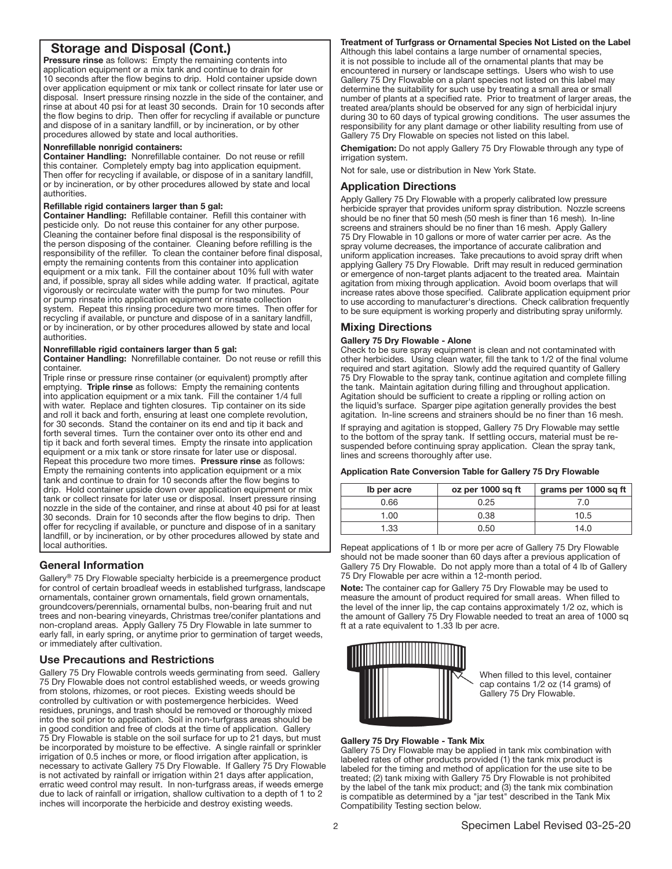## Storage and Disposal (Cont.)

Pressure rinse as follows: Empty the remaining contents into application equipment or a mix tank and continue to drain for 10 seconds after the flow begins to drip. Hold container upside down over application equipment or mix tank or collect rinsate for later use or disposal. Insert pressure rinsing nozzle in the side of the container, and rinse at about 40 psi for at least 30 seconds. Drain for 10 seconds after the flow begins to drip. Then offer for recycling if available or puncture and dispose of in a sanitary landfill, or by incineration, or by other procedures allowed by state and local authorities.

#### Nonrefillable nonrigid containers:

Container Handling: Nonrefillable container. Do not reuse or refill this container. Completely empty bag into application equipment. Then offer for recycling if available, or dispose of in a sanitary landfill, or by incineration, or by other procedures allowed by state and local authorities.

#### Refillable rigid containers larger than 5 gal:

Container Handling: Refillable container. Refill this container with pesticide only. Do not reuse this container for any other purpose. Cleaning the container before final disposal is the responsibility of the person disposing of the container. Cleaning before refilling is the responsibility of the refiller. To clean the container before final disposal, empty the remaining contents from this container into application equipment or a mix tank. Fill the container about 10% full with water and, if possible, spray all sides while adding water. If practical, agitate vigorously or recirculate water with the pump for two minutes. Pour or pump rinsate into application equipment or rinsate collection system. Repeat this rinsing procedure two more times. Then offer for recycling if available, or puncture and dispose of in a sanitary landfill, or by incineration, or by other procedures allowed by state and local authorities.

#### Nonrefillable rigid containers larger than 5 gal:

Container Handling: Nonrefillable container. Do not reuse or refill this container.

Triple rinse or pressure rinse container (or equivalent) promptly after emptying. Triple rinse as follows: Empty the remaining contents into application equipment or a mix tank. Fill the container 1/4 full with water. Replace and tighten closures. Tip container on its side and roll it back and forth, ensuring at least one complete revolution, for 30 seconds. Stand the container on its end and tip it back and forth several times. Turn the container over onto its other end and tip it back and forth several times. Empty the rinsate into application equipment or a mix tank or store rinsate for later use or disposal. Repeat this procedure two more times. Pressure rinse as follows: Empty the remaining contents into application equipment or a mix tank and continue to drain for 10 seconds after the flow begins to drip. Hold container upside down over application equipment or mix tank or collect rinsate for later use or disposal. Insert pressure rinsing nozzle in the side of the container, and rinse at about 40 psi for at least 30 seconds. Drain for 10 seconds after the flow begins to drip. Then offer for recycling if available, or puncture and dispose of in a sanitary landfill, or by incineration, or by other procedures allowed by state and local authorities.

#### General Information

Ļ

Gallery® 75 Dry Flowable specialty herbicide is a preemergence product for control of certain broadleaf weeds in established turfgrass, landscape ornamentals, container grown ornamentals, field grown ornamentals, groundcovers/perennials, ornamental bulbs, non-bearing fruit and nut trees and non-bearing vineyards, Christmas tree/conifer plantations and non-cropland areas. Apply Gallery 75 Dry Flowable in late summer to early fall, in early spring, or anytime prior to germination of target weeds, or immediately after cultivation.

#### Use Precautions and Restrictions

Gallery 75 Dry Flowable controls weeds germinating from seed. Gallery 75 Dry Flowable does not control established weeds, or weeds growing from stolons, rhizomes, or root pieces. Existing weeds should be controlled by cultivation or with postemergence herbicides. Weed residues, prunings, and trash should be removed or thoroughly mixed into the soil prior to application. Soil in non-turfgrass areas should be in good condition and free of clods at the time of application. Gallery 75 Dry Flowable is stable on the soil surface for up to 21 days, but must be incorporated by moisture to be effective. A single rainfall or sprinkler irrigation of 0.5 inches or more, or flood irrigation after application, is necessary to activate Gallery 75 Dry Flowable. If Gallery 75 Dry Flowable is not activated by rainfall or irrigation within 21 days after application, erratic weed control may result. In non-turfgrass areas, if weeds emerge due to lack of rainfall or irrigation, shallow cultivation to a depth of 1 to 2 inches will incorporate the herbicide and destroy existing weeds.

#### Treatment of Turfgrass or Ornamental Species Not Listed on the Label

Although this label contains a large number of ornamental species, it is not possible to include all of the ornamental plants that may be encountered in nursery or landscape settings. Users who wish to use Gallery 75 Dry Flowable on a plant species not listed on this label may determine the suitability for such use by treating a small area or small number of plants at a specified rate. Prior to treatment of larger areas, the treated area/plants should be observed for any sign of herbicidal injury during 30 to 60 days of typical growing conditions. The user assumes the responsibility for any plant damage or other liability resulting from use of Gallery 75 Dry Flowable on species not listed on this label.

Chemigation: Do not apply Gallery 75 Dry Flowable through any type of irrigation system.

Not for sale, use or distribution in New York State.

#### Application Directions

Apply Gallery 75 Dry Flowable with a properly calibrated low pressure herbicide sprayer that provides uniform spray distribution. Nozzle screens should be no finer that 50 mesh (50 mesh is finer than 16 mesh). In-line screens and strainers should be no finer than 16 mesh. Apply Gallery 75 Dry Flowable in 10 gallons or more of water carrier per acre. As the spray volume decreases, the importance of accurate calibration and uniform application increases. Take precautions to avoid spray drift when applying Gallery 75 Dry Flowable. Drift may result in reduced germination or emergence of non-target plants adjacent to the treated area. Maintain agitation from mixing through application. Avoid boom overlaps that will increase rates above those specified. Calibrate application equipment prior to use according to manufacturer's directions. Check calibration frequently to be sure equipment is working properly and distributing spray uniformly.

#### Mixing Directions

#### Gallery 75 Dry Flowable - Alone

Check to be sure spray equipment is clean and not contaminated with other herbicides. Using clean water, fill the tank to 1/2 of the final volume required and start agitation. Slowly add the required quantity of Gallery 75 Dry Flowable to the spray tank, continue agitation and complete filling the tank. Maintain agitation during filling and throughout application. Agitation should be sufficient to create a rippling or rolling action on the liquid's surface. Sparger pipe agitation generally provides the best agitation. In-line screens and strainers should be no finer than 16 mesh.

If spraying and agitation is stopped, Gallery 75 Dry Flowable may settle to the bottom of the spray tank. If settling occurs, material must be resuspended before continuing spray application. Clean the spray tank, lines and screens thoroughly after use.

#### Application Rate Conversion Table for Gallery 75 Dry Flowable

| 0.25 | 7.0  |
|------|------|
| 0.38 | 10.5 |
| 0.50 | 14.0 |
|      |      |

Repeat applications of 1 lb or more per acre of Gallery 75 Dry Flowable should not be made sooner than 60 days after a previous application of Gallery 75 Dry Flowable. Do not apply more than a total of 4 lb of Gallery 75 Dry Flowable per acre within a 12-month period.

Note: The container cap for Gallery 75 Dry Flowable may be used to measure the amount of product required for small areas. When filled to the level of the inner lip, the cap contains approximately 1/2 oz, which is the amount of Gallery 75 Dry Flowable needed to treat an area of 1000 sq ft at a rate equivalent to 1.33 lb per acre.



When filled to this level, container cap contains 1/2 oz (14 grams) of Gallery 75 Dry Flowable.

#### Gallery 75 Dry Flowable - Tank Mix

Gallery 75 Dry Flowable may be applied in tank mix combination with labeled rates of other products provided (1) the tank mix product is labeled for the timing and method of application for the use site to be treated; (2) tank mixing with Gallery 75 Dry Flowable is not prohibited by the label of the tank mix product; and (3) the tank mix combination is compatible as determined by a "jar test" described in the Tank Mix Compatibility Testing section below.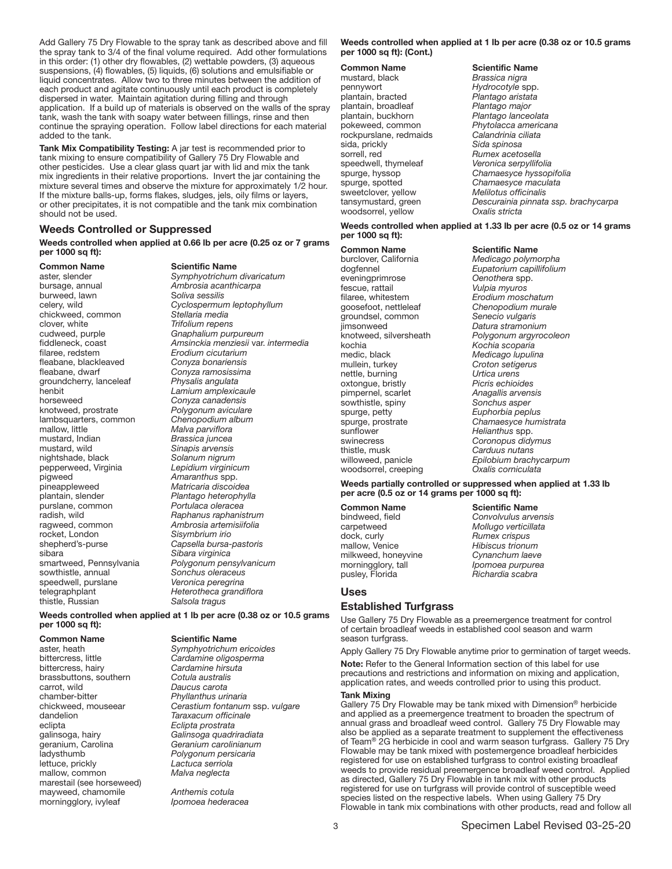Add Gallery 75 Dry Flowable to the spray tank as described above and fill the spray tank to 3/4 of the final volume required. Add other formulations in this order: (1) other dry flowables, (2) wettable powders, (3) aqueous suspensions, (4) flowables, (5) liquids, (6) solutions and emulsifiable or liquid concentrates. Allow two to three minutes between the addition of each product and agitate continuously until each product is completely dispersed in water. Maintain agitation during filling and through application. If a build up of materials is observed on the walls of the spray tank, wash the tank with soapy water between fillings, rinse and then continue the spraying operation. Follow label directions for each material added to the tank.

Tank Mix Compatibility Testing: A jar test is recommended prior to tank mixing to ensure compatibility of Gallery 75 Dry Flowable and other pesticides. Use a clear glass quart jar with lid and mix the tank mix ingredients in their relative proportions. Invert the jar containing the mixture several times and observe the mixture for approximately 1/2 hour. If the mixture balls-up, forms flakes, sludges, jels, oily films or layers, or other precipitates, it is not compatible and the tank mix combination should not be used.

#### Weeds Controlled or Suppressed

Weeds controlled when applied at 0.66 lb per acre (0.25 oz or 7 grams per 1000 sq ft):

bursage, annual *Ambrosia acanthicarpa* burweed, lawn chickweed, common clover, white *Trifolium repens* cudweed, purple *Gnaphalium purpureum* filaree, redstem *Erodium cicutarium* fleabane, blackleaved<br>fleabane, dwarf groundcherry, lanceleaf *Physalis angulata* horseweed *Conyza canadensis* lambsquarters, common<br>mallow, little mallow, little *Malva parviflora* mustard, wild *Sinapis arvensis* nightshade, black *Solanum nigrum* pepperweed, Virginia *Lepidium virginicum* pigweed *Amaranthus* spp. pineappleweed *Matricaria discoidea* plantain, slender *Plantago heterophylla* radish, wild *Raphanus raphanistrum* ragweed, common *Ambrosia artemisiifolia* rocket, London *Sisymbrium irio* shepherd's-purse *Capsella bursa-pastoris* sibara *Sibara virginica* sowthistle, annual *Sonchus oleraceus* speedwell, purslane *Veronica peregrina* thistle, Russian *Salsola tragus*

Common Name Scientific Name

aster, slender *Symphyotrichum divaricatum* celery, wild *Cyclospermum leptophyllum* fiddleneck, coast *Amsinckia menziesii* var. *intermedia* fleabane, dwarf *Conyza ramosissima* Lamium amplexicaule Polygonum aviculare<br>Chenopodium album mustard, Indian *Brassica juncea* Portulaca oleracea **Polygonum pensylvanicum** 

Weeds controlled when applied at 1 lb per acre (0.38 oz or 10.5 grams per 1000 sq ft):

bittercress, hairy *Cardamine hirsuta* brassbuttons, southern<br>carrot, wild carrot, wild *Daucus carota* chamber-bitter *Phyllanthus urinaria* dandelion *Taraxacum officinale* eclipta *Eclipta prostrata* galinsoga, hairy *Galinsoga quadriradiata* geranium, Carolina *Geranium carolinianum* ladysthumb *Polygonum persicaria* mallow, common marestail (see horseweed) mayweed, chamomile *Anthemis cotula*<br>morningglory, ivyleaf *Ipomoea hederacea* morningglory, ivyleaf

## **Common Name**<br>
aster heath Symphyotrichum<br>
Symphyotrichum

telegraphplant *Heterotheca grandiflora*

aster, heath *Symphyotrichum ericoides* **Cardamine oligosperma**  $C$ erastium fontanum ssp. vulgare Lactuca serriola<br>*Malva neglecta* 

#### Weeds controlled when applied at 1 lb per acre (0.38 oz or 10.5 grams per 1000 sq ft): (Cont.)

**Common Name**<br>mustard, black **S**rassica nigra mustard, black<br>pennywort plantain, bracted *Plantago aristata* plantain, broadleaf *Plantago major* plantain, buckhorn *Plantago lanceolata* rockpurslane, redmaids *Calandrinia c*<br> *Calandrinia*<br> *Cida spinosa* sida, prickly<br>sorrell. red speedwell, thymeleaf<br>spurge, hyssop  $s$ weetclover, yellow woodsorrel, yellow

Hydrocotyle spp.<br>Plantago aristata Phytolacca americana<br>Calandrinia ciliata Rumex acetosella<br>Veronica serpyllifolia spurge, hyssop *Chamaesyce hyssopifolia* Chamaesyce maculata<br>Melilotus officinalis tansymustard, green *Descurainia pinnata ssp. brachycarpa*

#### Weeds controlled when applied at 1.33 lb per acre (0.5 oz or 14 grams per 1000 sq ft):

Common Name Scientific Name

burclover, California *Medicago polymorpha* eveningprimrose *Oenothera* spp.<br>
fescue. rattail *CONDERA CONDERA Vulpia myuros* fescue, rattail<br>filaree, whitestem filaree, whitestem *Erodium moschatum*  $a$ roundsel, common jimsonweed *Datura stramonium* kochia *Kochia scoparia* mullein, turkey *Croton setigerus* nettle, burning oxtongue, bristly *Picris echioides* pimpernel, scarlet *Anagallis arvensis* sowthistle, spiny<br>spurge, petty sunflower *Helianthus* spp. swinecress *Coronopus didymus* woodsorrel, creeping

dogfennel *Eupatorium capillifolium* Chenopodium murale<br>Senecio vulgaris knotweed, silversheath *Polygonum argyrocoleon* **Medicago lupulina** Euphorbia peplus spurge, prostrate *Chamaesyce humistrata* Garduus nutans willoweed, panicle *Epilobium brachycarpum*

Weeds partially controlled or suppressed when applied at 1.33 lb per acre (0.5 oz or 14 grams per 1000 sq ft):

dock, curly *Rumex crispus*

**Common Name**<br>
bindweed, field **Scientific Name**<br>
Convolvulus arvei bindweed, field *Convolvulus arvensis* carpetweed *Mollugo verticillata* mallow, Venice *Hibiscus trionum* milkweed, honeyvine *Cynanchum laeve* morningglory, tall *Ipomoea purpurea* pusley, Florida

#### Uses

#### Established Turfgrass

Use Gallery 75 Dry Flowable as a preemergence treatment for control of certain broadleaf weeds in established cool season and warm season turfgrass.

Apply Gallery 75 Dry Flowable anytime prior to germination of target weeds.

Note: Refer to the General Information section of this label for use precautions and restrictions and information on mixing and application, application rates, and weeds controlled prior to using this product.

#### Tank Mixing

Gallery 75 Dry Flowable may be tank mixed with Dimension® herbicide and applied as a preemergence treatment to broaden the spectrum of annual grass and broadleaf weed control. Gallery 75 Dry Flowable may also be applied as a separate treatment to supplement the effectiveness of Team® 2G herbicide in cool and warm season turfgrass. Gallery 75 Dry Flowable may be tank mixed with postemergence broadleaf herbicides registered for use on established turfgrass to control existing broadleaf weeds to provide residual preemergence broadleaf weed control. Applied as directed, Gallery 75 Dry Flowable in tank mix with other products registered for use on turfgrass will provide control of susceptible weed species listed on the respective labels. When using Gallery 75 Dry Flowable in tank mix combinations with other products, read and follow all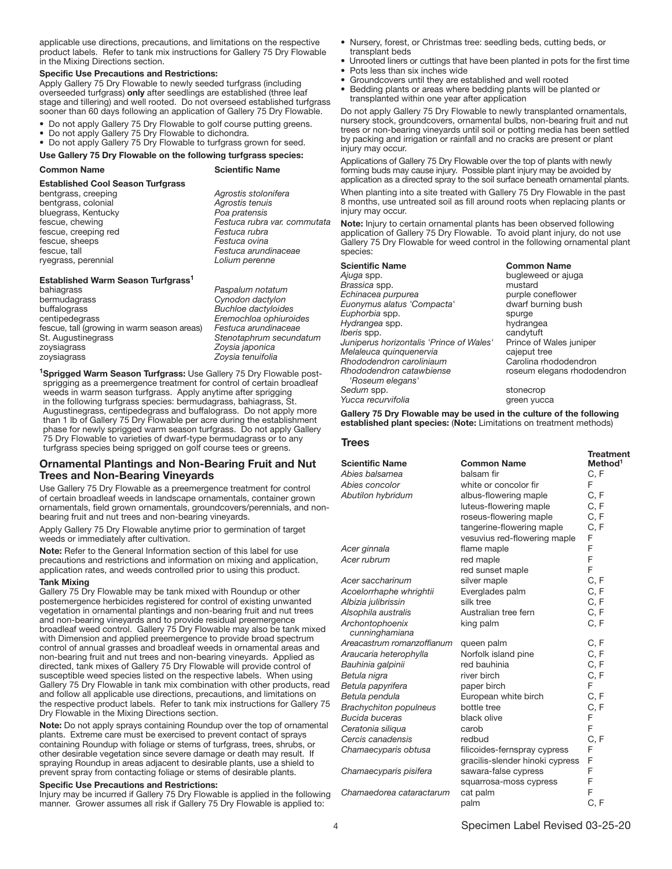applicable use directions, precautions, and limitations on the respective product labels. Refer to tank mix instructions for Gallery 75 Dry Flowable in the Mixing Directions section.

#### Specific Use Precautions and Restrictions:

Apply Gallery 75 Dry Flowable to newly seeded turfgrass (including overseeded turfgrass) only after seedlings are established (three leaf stage and tillering) and well rooted. Do not overseed established turfgrass sooner than 60 days following an application of Gallery 75 Dry Flowable.

- Do not apply Gallery 75 Dry Flowable to golf course putting greens.
- Do not apply Gallery 75 Dry Flowable to dichondra.
- Do not apply Gallery 75 Dry Flowable to turfgrass grown for seed.

Use Gallery 75 Dry Flowable on the following turfgrass species:

| <b>Common Name</b> |  |
|--------------------|--|
|                    |  |

#### **Scientific Name**

Established Cool Season Turfgrass

bentgrass, creeping *Agrostis stolonifera* bentgrass, colonial *Agrostis tenuis* bluegrass, Kentucky *Poa pratensis* fescue, chewing *Festuca rubra var. commutata* fescue, creeping red *Festuca rubra* fescue, sheeps *Festuca ovina* fescue, tall *Festuca arundinaceae* ryegrass, perennial *Lolium perenne*

#### Established Warm Season Turfgrass<sup>1</sup>

| bahiagrass                                  | P. |
|---------------------------------------------|----|
| bermudagrass                                | С  |
| buffalograss                                | в  |
| centipedegrass                              | F. |
| fescue, tall (growing in warm season areas) | F  |
| St. Augustinegrass                          | S  |
| zoysiagrass                                 | Z  |
| zovsiagrass                                 | 7  |

bahiagrass *Paspalum notatum* bermudagrass *Cynodon dactylon* buffalograss *Buchloe dactyloides* centipedegrass *Eremochloa ophiuroides* fescue, tall (growing in warm season areas) *Festuca arundinaceae* St. Augustinegrass *Stenotaphrum secundatum* zoysiagrass *Zoysia japonica* zoysiagrass *Zoysia tenuifolia*

<sup>1</sup>Sprigged Warm Season Turfgrass: Use Gallery 75 Dry Flowable postsprigging as a preemergence treatment for control of certain broadleaf weeds in warm season turfgrass. Apply anytime after sprigging in the following turfgrass species: bermudagrass, bahiagrass, St. Augustinegrass, centipedegrass and buffalograss. Do not apply more than 1 lb of Gallery 75 Dry Flowable per acre during the establishment phase for newly sprigged warm season turfgrass. Do not apply Gallery 75 Dry Flowable to varieties of dwarf-type bermudagrass or to any turfgrass species being sprigged on golf course tees or greens.

#### Ornamental Plantings and Non-Bearing Fruit and Nut Trees and Non-Bearing Vineyards

Use Gallery 75 Dry Flowable as a preemergence treatment for control of certain broadleaf weeds in landscape ornamentals, container grown ornamentals, field grown ornamentals, groundcovers/perennials, and nonbearing fruit and nut trees and non-bearing vineyards.

Apply Gallery 75 Dry Flowable anytime prior to germination of target weeds or immediately after cultivation.

Note: Refer to the General Information section of this label for use precautions and restrictions and information on mixing and application, application rates, and weeds controlled prior to using this product.

#### Tank Mixing

Gallery 75 Dry Flowable may be tank mixed with Roundup or other postemergence herbicides registered for control of existing unwanted vegetation in ornamental plantings and non-bearing fruit and nut trees and non-bearing vineyards and to provide residual preemergence broadleaf weed control. Gallery 75 Dry Flowable may also be tank mixed with Dimension and applied preemergence to provide broad spectrum control of annual grasses and broadleaf weeds in ornamental areas and non-bearing fruit and nut trees and non-bearing vineyards. Applied as directed, tank mixes of Gallery 75 Dry Flowable will provide control of susceptible weed species listed on the respective labels. When using Gallery 75 Dry Flowable in tank mix combination with other products, read and follow all applicable use directions, precautions, and limitations on the respective product labels. Refer to tank mix instructions for Gallery 75 Dry Flowable in the Mixing Directions section.

Note: Do not apply sprays containing Roundup over the top of ornamental plants. Extreme care must be exercised to prevent contact of sprays containing Roundup with foliage or stems of turfgrass, trees, shrubs, or other desirable vegetation since severe damage or death may result. If spraying Roundup in areas adjacent to desirable plants, use a shield to prevent spray from contacting foliage or stems of desirable plants.

#### Specific Use Precautions and Restrictions:

Injury may be incurred if Gallery 75 Dry Flowable is applied in the following manner. Grower assumes all risk if Gallery 75 Dry Flowable is applied to:

- Nursery, forest, or Christmas tree: seedling beds, cutting beds, or transplant beds
- Unrooted liners or cuttings that have been planted in pots for the first time • Pots less than six inches wide
- Groundcovers until they are established and well rooted
- Bedding plants or areas where bedding plants will be planted or transplanted within one year after application

Do not apply Gallery 75 Dry Flowable to newly transplanted ornamentals, nursery stock, groundcovers, ornamental bulbs, non-bearing fruit and nut trees or non-bearing vineyards until soil or potting media has been settled by packing and irrigation or rainfall and no cracks are present or plant injury may occur.

Applications of Gallery 75 Dry Flowable over the top of plants with newly forming buds may cause injury. Possible plant injury may be avoided by application as a directed spray to the soil surface beneath ornamental plants.

When planting into a site treated with Gallery 75 Dry Flowable in the past 8 months, use untreated soil as fill around roots when replacing plants or injury may occur.

Note: Injury to certain ornamental plants has been observed following application of Gallery 75 Dry Flowable. To avoid plant injury, do not use Gallery 75 Dry Flowable for weed control in the following ornamental plant species:

| <b>Scientific Name</b>                   | <b>Common Name</b>          |
|------------------------------------------|-----------------------------|
| Ajuga spp.                               | bugleweed or ajuga          |
| Brassica spp.                            | mustard                     |
| Echinacea purpurea                       | purple coneflower           |
| Euonymus alatus 'Compacta'               | dwarf burning bush          |
| Euphorbia spp.                           | spurge                      |
| Hydrangea spp.                           | hydrangea                   |
| Iberis spp.                              | candytuft                   |
| Juniperus horizontalis 'Prince of Wales' | Prince of Wales juniper     |
| Melaleuca quinquenervia                  | cajeput tree                |
| Rhododendron caroliniaum                 | Carolina rhododendron       |
| Rhododendron catawbiense                 | roseum elegans rhododendron |
| 'Roseum elegans'                         |                             |
| Sedum spp.                               | stonecrop                   |
| Yucca recurvifolia                       | green vucca                 |

Gallery 75 Dry Flowable may be used in the culture of the following established plant species: (Note: Limitations on treatment methods)

**Treatment** 

#### **Trees**

| <b>Scientific Name</b>            | <b>Common Name</b>              | Method <sup>1</sup> |
|-----------------------------------|---------------------------------|---------------------|
| Abies balsamea                    | balsam fir                      | C, F                |
| Abies concolor                    | white or concolor fir           | F                   |
| Abutilon hybridum                 | albus-flowering maple           | C, F                |
|                                   | luteus-flowering maple          | C, F                |
|                                   | roseus-flowering maple          | C, F                |
|                                   | tangerine-flowering maple       | C, F                |
|                                   | vesuvius red-flowering maple    | F                   |
| Acer ginnala                      | flame maple                     | F                   |
| Acer rubrum                       | red maple                       | F                   |
|                                   | red sunset maple                | F                   |
| Acer saccharinum                  | silver maple                    | C, F                |
| Acoelorrhaphe whrightii           | Everglades palm                 | C, F                |
| Albizia julibrissin               | silk tree                       | C, F                |
| Alsophila australis               | Australian tree fern            | C, F                |
| Archontophoenix<br>cunninghamiana | king palm                       | C, F                |
| Areacastrum romanzoffianum        | queen palm                      | C, F                |
| Araucaria heterophylla            | Norfolk island pine             | C, F                |
| Bauhinia galpinii                 | red bauhinia                    | C, F                |
| Betula nigra                      | river birch                     | C, F                |
| Betula papyrifera                 | paper birch                     | F.                  |
| Betula pendula                    | European white birch            | C, F                |
| <b>Brachychiton populneus</b>     | bottle tree                     | C, F                |
| Bucida buceras                    | black olive                     | F                   |
| Ceratonia siliqua                 | carob                           | F                   |
| Cercis canadensis                 | redbud                          | C, F                |
| Chamaecyparis obtusa              | filicoides-fernspray cypress    | F                   |
|                                   | gracilis-slender hinoki cypress | F                   |
| Chamaecyparis pisifera            | sawara-false cypress            | F                   |
|                                   | squarrosa-moss cypress          | F                   |
| Chamaedorea cataractarum          | cat palm                        | F                   |
|                                   | palm                            | C, F                |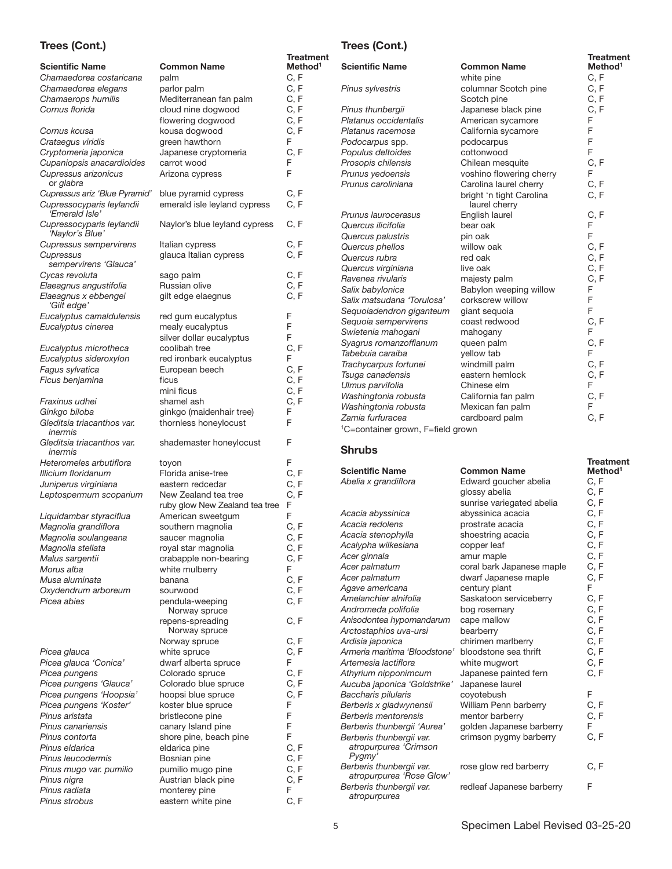## Trees (Cont.)

| <b>Scientific Name</b>                                                       | <b>Common Name</b>                                     | <b>Treatment</b><br>Method <sup>1</sup> |
|------------------------------------------------------------------------------|--------------------------------------------------------|-----------------------------------------|
| Chamaedorea costaricana                                                      | palm                                                   | C, F                                    |
| Chamaedorea elegans                                                          | parlor palm                                            | C, F                                    |
| Chamaerops humilis                                                           | Mediterranean fan palm                                 | C, F                                    |
| Cornus florida                                                               | cloud nine dogwood                                     | C, F                                    |
|                                                                              | flowering dogwood                                      | C, F                                    |
| Cornus kousa                                                                 | kousa dogwood                                          | C, F                                    |
| Crataegus viridis                                                            | green hawthorn                                         | F                                       |
| Cryptomeria japonica                                                         | Japanese cryptomeria                                   | C, F<br>F                               |
| Cupaniopsis anacardioides<br>Cupressus arizonicus<br>or glabra               | carrot wood<br>Arizona cypress                         | F                                       |
| Cupressus ariz 'Blue Pyramid'<br>Cupressocyparis leylandii<br>'Emerald Isle' | blue pyramid cypress<br>emerald isle leyland cypress   | C, F<br>C, F                            |
| Cupressocyparis leylandii<br>'Naylor's Blue'                                 | Naylor's blue leyland cypress                          | C, F                                    |
| <b>Cupressus sempervirens</b>                                                | Italian cypress                                        | C, F                                    |
| Cupressus                                                                    | glauca Italian cypress                                 | C, F                                    |
| sempervirens 'Glauca'                                                        |                                                        |                                         |
| Cycas revoluta                                                               | sago palm<br>Russian olive                             | C, F<br>C, F                            |
| Elaeagnus angustifolia<br>Elaeagnus x ebbengei                               | gilt edge elaegnus                                     | C, F                                    |
| 'Gilt edge'<br>Eucalyptus camaldulensis                                      |                                                        | F                                       |
| Eucalyptus cinerea                                                           | red gum eucalyptus<br>mealy eucalyptus                 | F                                       |
|                                                                              | silver dollar eucalyptus                               | F                                       |
| Eucalyptus microtheca<br>Eucalyptus sideroxylon                              | coolibah tree<br>red ironbark eucalyptus               | C, F<br>F                               |
| Fagus sylvatica                                                              | European beech                                         | C, F                                    |
| Ficus benjamina                                                              | ficus                                                  | C, F                                    |
|                                                                              | mini ficus                                             | C, F                                    |
| Fraxinus udhei                                                               | shamel ash                                             | C, F                                    |
| Ginkgo biloba                                                                | ginkgo (maidenhair tree)                               | F                                       |
| Gleditsia triacanthos var.<br>inermis                                        | thornless honeylocust                                  | F                                       |
| Gleditsia triacanthos var.<br>inermis                                        | shademaster honeylocust                                | F                                       |
| Heteromeles arbutiflora                                                      | toyon                                                  | F                                       |
| Illicium floridanum                                                          | Florida anise-tree                                     | C, F                                    |
| Juniperus virginiana                                                         | eastern redcedar                                       | C, F<br>C, F                            |
| Leptospermum scoparium                                                       | New Zealand tea tree<br>ruby glow New Zealand tea tree | F                                       |
| Liquidambar styraciflua                                                      | American sweetgum                                      | F                                       |
| Magnolia grandiflora                                                         | southern magnolia                                      | C, F                                    |
| Magnolia soulangeana                                                         | saucer magnolia                                        | C, F                                    |
| Magnolia stellata                                                            | royal star magnolia                                    | C, F                                    |
| Malus sargentii                                                              | crabapple non-bearing                                  | C, F                                    |
| Morus alba                                                                   | white mulberry                                         | F                                       |
| Musa aluminata                                                               | banana                                                 | C, F                                    |
| Oxydendrum arboreum                                                          | sourwood                                               | C, F                                    |
| Picea abies                                                                  | pendula-weeping<br>Norway spruce                       | C, F                                    |
|                                                                              | repens-spreading<br>Norway spruce                      | C, F                                    |
|                                                                              | Norway spruce                                          | C, F<br>C, F                            |
| Picea glauca<br>Picea glauca 'Conica'                                        | white spruce<br>dwarf alberta spruce                   | F                                       |
| Picea pungens                                                                | Colorado spruce                                        | C, F                                    |
| Picea pungens 'Glauca'                                                       | Colorado blue spruce                                   | C, F                                    |
| Picea pungens 'Hoopsia'                                                      | hoopsi blue spruce                                     | C, F                                    |
| Picea pungens 'Koster'                                                       | koster blue spruce                                     | F                                       |
| Pinus aristata                                                               | bristlecone pine                                       | F                                       |
| Pinus canariensis                                                            | canary Island pine                                     | F                                       |
| Pinus contorta                                                               | shore pine, beach pine                                 | F                                       |
| Pinus eldarica                                                               | eldarica pine                                          | C, F                                    |
| Pinus leucodermis                                                            | Bosnian pine                                           | C, F                                    |
| Pinus mugo var. pumilio                                                      | pumilio mugo pine                                      | C, F                                    |
| Pinus nigra                                                                  | Austrian black pine                                    | C, F                                    |
| Pinus radiata                                                                | monterey pine<br>eastern white pine                    | F<br>C, F                               |
| Pinus strobus                                                                |                                                        |                                         |

## Trees (Cont.)

| r                                             |                                           | <b>Treatment</b>    |
|-----------------------------------------------|-------------------------------------------|---------------------|
| <b>Scientific Name</b>                        | <b>Common Name</b>                        | Method <sup>1</sup> |
|                                               | white pine                                | C, F                |
| Pinus sylvestris                              | columnar Scotch pine                      | C, F                |
|                                               | Scotch pine                               | C, F                |
| Pinus thunbergii                              | Japanese black pine                       | C, F                |
| Platanus occidentalis                         | American sycamore                         | F                   |
| Platanus racemosa                             | California sycamore                       | F                   |
| Podocarpus spp.                               | podocarpus                                | F                   |
| Populus deltoides                             | cottonwood                                | F                   |
| Prosopis chilensis                            | Chilean mesquite                          | C, F                |
| Prunus yedoensis                              | voshino flowering cherry                  | F                   |
| Prunus caroliniana                            | Carolina laurel cherry                    | C, F                |
|                                               | bright 'n tight Carolina<br>laurel cherry | C, F                |
| Prunus laurocerasus                           | English laurel                            | C, F                |
| Quercus ilicifolia                            | bear oak                                  | F                   |
| Quercus palustris                             | pin oak                                   | F                   |
| Quercus phellos                               | willow oak                                | C, F                |
| Quercus rubra                                 | red oak                                   | C, F                |
| Quercus virginiana                            | live oak                                  | C, F                |
| Ravenea rivularis                             | majesty palm                              | C, F                |
| Salix babylonica                              | Babylon weeping willow                    | F                   |
| Salix matsudana 'Torulosa'                    | corkscrew willow                          | F                   |
| Sequoiadendron giganteum                      | giant seguoia                             | F                   |
| Sequoia sempervirens                          | coast redwood                             | C, F                |
| Swietenia mahogani                            | mahogany                                  | F                   |
| Syagrus romanzoffianum                        | queen palm                                | C, F                |
| Tabebuia caraiba                              | yellow tab                                | F                   |
| Trachycarpus fortunei                         | windmill palm                             | C.F                 |
| Tsuga canadensis                              | eastern hemlock                           | C, F                |
| Ulmus parvifolia                              | Chinese elm                               | F                   |
| Washingtonia robusta                          | California fan palm                       | C, F                |
| Washingtonia robusta                          | Mexican fan palm                          | F                   |
| Zamia furfuracea                              | cardboard palm                            | C, F                |
| <sup>1</sup> C=container grown, F=field grown |                                           |                     |

Shrubs

|                                                             |                           | <b>Treatment</b>    |
|-------------------------------------------------------------|---------------------------|---------------------|
| Scientific Name                                             | <b>Common Name</b>        | Method <sup>1</sup> |
| Abelia x grandiflora                                        | Edward goucher abelia     | C, F                |
|                                                             | glossy abelia             | C, F                |
|                                                             | sunrise variegated abelia | C, F                |
| Acacia abyssinica                                           | abyssinica acacia         | C, F                |
| Acacia redolens                                             | prostrate acacia          | C, F                |
| Acacia stenophylla                                          | shoestring acacia         | C, F                |
| Acalypha wilkesiana                                         | copper leaf               | C, F                |
| Acer ginnala                                                | amur maple                | C, F                |
| Acer palmatum                                               | coral bark Japanese maple | C, F                |
| Acer palmatum                                               | dwarf Japanese maple      | C, F                |
| Agave americana                                             | century plant             | F                   |
| Amelanchier alnifolia                                       | Saskatoon serviceberry    | C, F                |
| Andromeda polifolia                                         | bog rosemary              | C, F                |
| Anisodontea hypomandarum                                    | cape mallow               | C, F                |
| Arctostaphlos uva-ursi                                      | bearberry                 | C, F                |
| Ardisia japonica                                            | chirimen marlberry        | C, F                |
| Armeria maritima 'Bloodstone'                               | bloodstone sea thrift     | C, F                |
| Artemesia lactiflora                                        | white mugwort             | C, F                |
| Athyrium nipponimcum                                        | Japanese painted fern     | C, F                |
| Aucuba japonica 'Goldstrike'                                | Japanese laurel           |                     |
| Baccharis pilularis                                         | coyotebush                | F                   |
| Berberis x gladwynensii                                     | William Penn barberry     | C, F                |
| Berberis mentorensis                                        | mentor barberry           | C, F                |
| Berberis thunbergii 'Aurea'                                 | golden Japanese barberry  | F                   |
| Berberis thunbergii var.<br>atropurpurea 'Crimson<br>Pygmy' | crimson pygmy barberry    | C, F                |
| Berberis thunbergii var.<br>atropurpurea 'Rose Glow'        | rose glow red barberry    | C, F                |
| Berberis thunbergii var.<br>atropurpurea                    | redleaf Japanese barberry | F                   |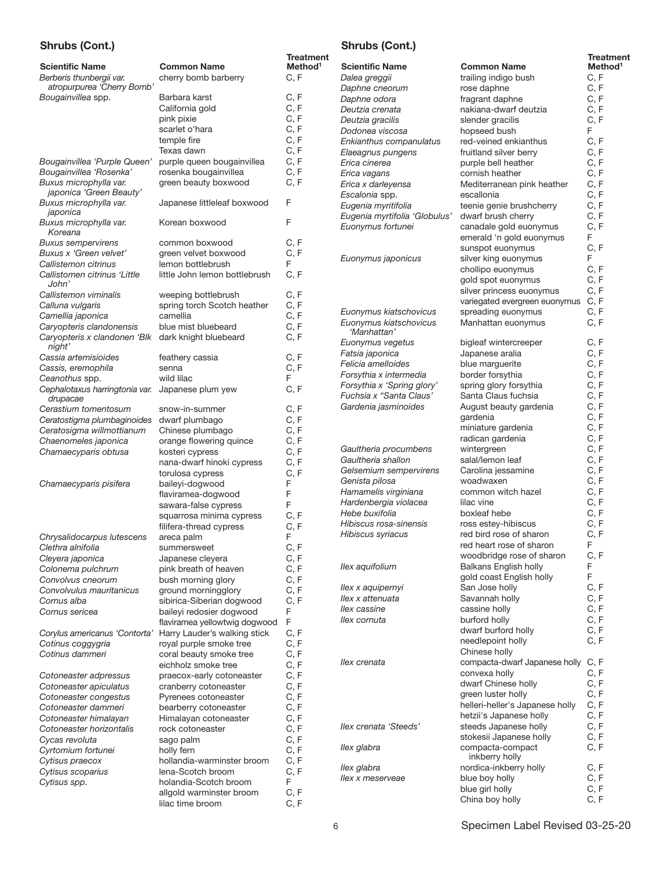## Shrubs (Cont.)

|                                                                                  |                                               | <b>Treatment</b>            |
|----------------------------------------------------------------------------------|-----------------------------------------------|-----------------------------|
| <b>Scientific Name</b><br>Berberis thunbergii var.<br>atropurpurea 'Cherry Bomb' | <b>Common Name</b><br>cherry bomb barberry    | Method <sup>1</sup><br>C, F |
| Bougainvillea spp.                                                               | Barbara karst                                 | C, F                        |
|                                                                                  | California gold                               | C, F                        |
|                                                                                  | pink pixie                                    | C, F                        |
|                                                                                  | scarlet o'hara                                | C, F                        |
|                                                                                  | temple fire                                   | C, F                        |
|                                                                                  | Texas dawn                                    | C, F                        |
| Bougainvillea 'Purple Queen'                                                     |                                               | C, F                        |
| Bougainvillea 'Rosenka'                                                          | purple queen bougainvillea                    | C, F                        |
|                                                                                  | rosenka bougainvillea<br>green beauty boxwood | C, F                        |
| Buxus microphylla var.<br>japonica 'Green Beauty'<br>Buxus microphylla var.      | Japanese littleleaf boxwood                   | F                           |
| japonica<br>Buxus microphylla var.<br>Koreana                                    | Korean boxwood                                | F                           |
| <b>Buxus sempervirens</b>                                                        | common boxwood                                | C, F                        |
| Buxus x 'Green velvet'                                                           | green velvet boxwood                          | C, F                        |
| Callistemon citrinus                                                             | lemon bottlebrush                             | F                           |
| Callistomen citrinus 'Little<br>John'                                            | little John lemon bottlebrush                 | C, F                        |
| Callistemon viminalis                                                            | weeping bottlebrush                           | C, F                        |
| Calluna vulgaris                                                                 | spring torch Scotch heather                   | C, F                        |
| Camellia japonica                                                                | camellia                                      | C, F                        |
| Caryopteris clandonensis                                                         | blue mist bluebeard                           | C, F                        |
| Caryopteris x clandonen 'Blk<br>night'                                           | dark knight bluebeard                         | C, F                        |
| Cassia artemisioides                                                             | feathery cassia                               | C, F                        |
| Cassis, eremophila                                                               | senna                                         | C, F                        |
| Ceanothus spp.                                                                   | wild lilac                                    | F                           |
| Cephalotaxus harringtonia var.<br>drupacae                                       | Japanese plum yew                             | C, F                        |
| Cerastium tomentosum                                                             | snow-in-summer                                | C, F                        |
| Ceratostigma plumbaginoides                                                      | dwarf plumbago                                | C, F                        |
| Ceratosigma willmottianum                                                        | Chinese plumbago                              | C, F                        |
| Chaenomeles japonica                                                             | orange flowering quince                       | C, F                        |
| Chamaecyparis obtusa                                                             | kosteri cypress                               | C, F                        |
|                                                                                  | nana-dwarf hinoki cypress                     | C, F                        |
|                                                                                  | torulosa cypress                              | C, F                        |
| Chamaecyparis pisifera                                                           | baileyi-dogwood                               | F                           |
|                                                                                  | flaviramea-dogwood                            | F                           |
|                                                                                  | sawara-false cypress                          | F                           |
|                                                                                  | squarrosa minima cypress                      | C, F                        |
|                                                                                  | filifera-thread cypress                       | C, F                        |
| Chrysalidocarpus lutescens                                                       | areca palm                                    | F                           |
| Clethra alnifolia                                                                | summersweet                                   | C, F                        |
| Cleyera japonica                                                                 | Japanese cleyera                              | C, F                        |
| Colonema pulchrum                                                                | pink breath of heaven                         | C, F                        |
| Convolvus cneorum                                                                | bush morning glory                            | C, F                        |
| Convolvulus mauritanicus                                                         | ground morningglory                           | C, F                        |
| Cornus alba                                                                      | sibirica-Siberian dogwood                     | C, F                        |
| Cornus sericea                                                                   | baileyi redosier dogwood                      | F                           |
|                                                                                  | flaviramea yellowtwig dogwood                 | F                           |
| Corylus americanus 'Contorta'                                                    | Harry Lauder's walking stick                  | C, F                        |
| Cotinus coggygria                                                                | royal purple smoke tree                       | C, F                        |
| Cotinus dammeri                                                                  | coral beauty smoke tree                       | C, F                        |
|                                                                                  | eichholz smoke tree                           | C, F                        |
| Cotoneaster adpressus                                                            | praecox-early cotoneaster                     | C, F                        |
| Cotoneaster apiculatus                                                           | cranberry cotoneaster                         | C, F                        |
| Cotoneaster congestus                                                            | Pyrenees cotoneaster                          | C, F                        |
| Cotoneaster dammeri                                                              | bearberry cotoneaster                         | C, F                        |
| Cotoneaster himalayan                                                            | Himalayan cotoneaster                         | C, F                        |
| Cotoneaster horizontalis                                                         | rock cotoneaster                              | C, F                        |
| Cycas revoluta                                                                   | sago palm                                     | C, F                        |
| Cyrtomium fortunei                                                               | holly fern                                    | C, F                        |
| Cytisus praecox                                                                  | hollandia-warminster broom                    | C, F                        |
| Cytisus scoparius                                                                | lena-Scotch broom                             | C, F                        |
| Cytisus spp.                                                                     | holandia-Scotch broom                         | F                           |
|                                                                                  | allgold warminster broom                      | C, F                        |
|                                                                                  | lilac time broom                              | C, F                        |

## Shrubs (Cont.)

| <b>Scientific Name</b>                | <b>Common Name</b>                 | <b>Treatment</b><br>Method <sup>1</sup> |
|---------------------------------------|------------------------------------|-----------------------------------------|
| Dalea greggii                         | trailing indigo bush               | C, F                                    |
| Daphne cneorum                        | rose daphne                        | C, F                                    |
| Daphne odora                          | fragrant daphne                    | C, F                                    |
| Deutzia crenata                       | nakiana-dwarf deutzia              | C, F                                    |
| Deutzia gracilis                      | slender gracilis                   | C, F                                    |
| Dodonea viscosa                       | hopseed bush                       | F                                       |
| Enkianthus companulatus               | red-veined enkianthus              | C, F                                    |
| Elaeagnus pungens                     | fruitland silver berry             | C, F                                    |
| Erica cinerea                         | purple bell heather                | C, F                                    |
| Erica vagans                          | cornish heather                    | C, F                                    |
| Erica x darleyensa                    | Mediterranean pink heather         | C, F                                    |
| Escalonia spp.                        | escallonia                         | C, F                                    |
| Eugenia myritifolia                   | teenie genie brushcherry           | C, F                                    |
| Eugenia myrtifolia 'Globulus'         | dwarf brush cherry                 | C, F                                    |
| Euonymus fortunei                     | canadale gold euonymus             | C, F                                    |
|                                       | emerald 'n gold euonymus           | F                                       |
|                                       | sunspot euonymus                   | C, F                                    |
| Euonymus japonicus                    | silver king euonymus               | F                                       |
|                                       | chollipo euonymus                  | C, F                                    |
|                                       | gold spot euonymus                 | C, F                                    |
|                                       | silver princess euonymus           | C, F                                    |
|                                       | variegated evergreen euonymus      | C, F                                    |
| Euonymus kiatschovicus                | spreading euonymus                 | C, F                                    |
| Euonymus kiatschovicus<br>'Manhattan' | Manhattan euonymus                 | C, F                                    |
| Euonymus vegetus                      | bigleaf wintercreeper              | C, F                                    |
| Fatsia japonica                       | Japanese aralia                    | C, F                                    |
| Felicia amelloides                    | blue marguerite                    | C, F                                    |
| Forsythia x intermedia                | border forsythia                   | C, F                                    |
| Forsythia x 'Spring glory'            | spring glory forsythia             | C, F                                    |
| Fuchsia x "Santa Claus'               | Santa Claus fuchsia                | C, F                                    |
| Gardenia jasminoides                  | August beauty gardenia             | C, F                                    |
|                                       | gardenia                           | C, F                                    |
|                                       | miniature gardenia                 | C, F                                    |
|                                       | radican gardenia                   | C, F                                    |
| Gaultheria procumbens                 | wintergreen                        | C, F                                    |
| Gaultheria shallon                    | salal/lemon leaf                   | C, F                                    |
| Gelsemium sempervirens                | Carolina jessamine                 | C, F                                    |
| Genista pilosa                        | woadwaxen                          | C, F                                    |
| Hamamelis virginiana                  | common witch hazel                 | C, F                                    |
| Hardenbergia violacea                 | lilac vine                         | C, F                                    |
| Hebe buxifolia                        | boxleaf hebe                       | C, F                                    |
| Hibiscus rosa-sinensis                | ross estey-hibiscus                | C, F                                    |
| Hibiscus syriacus                     | red bird rose of sharon            | C, F                                    |
|                                       | red heart rose of sharon           | ۲.                                      |
|                                       | woodbridge rose of sharon          | C, F                                    |
| llex aquifolium                       | Balkans English holly              | F                                       |
|                                       | gold coast English holly           | F                                       |
| Ilex x aquipernyi                     | San Jose holly                     | C, F                                    |
| llex x attenuata                      | Savannah holly                     | C, F                                    |
| llex cassine                          | cassine holly                      | C, F                                    |
| llex cornuta                          | burford holly                      | C, F                                    |
|                                       | dwarf burford holly                | C, F                                    |
|                                       | needlepoint holly                  | C, F                                    |
|                                       | Chinese holly                      |                                         |
| llex crenata                          | compacta-dwarf Japanese holly C, F |                                         |
|                                       | convexa holly                      | C, F                                    |
|                                       | dwarf Chinese holly                | C, F                                    |
|                                       | green luster holly                 | C, F                                    |
|                                       | helleri-heller's Japanese holly    | C, F                                    |
|                                       | hetzii's Japanese holly            | C, F                                    |
| llex crenata 'Steeds'                 | steeds Japanese holly              | C, F                                    |
|                                       | stokesii Japanese holly            | C, F                                    |
| llex glabra                           | compacta-compact<br>inkberry holly | C, F                                    |
|                                       | nordica-inkberry holly             | C, F                                    |
| llex glabra<br>llex x meserveae       | blue boy holly                     | C, F                                    |
|                                       | blue girl holly                    | C, F                                    |
|                                       | China boy holly                    | C, F                                    |
|                                       |                                    |                                         |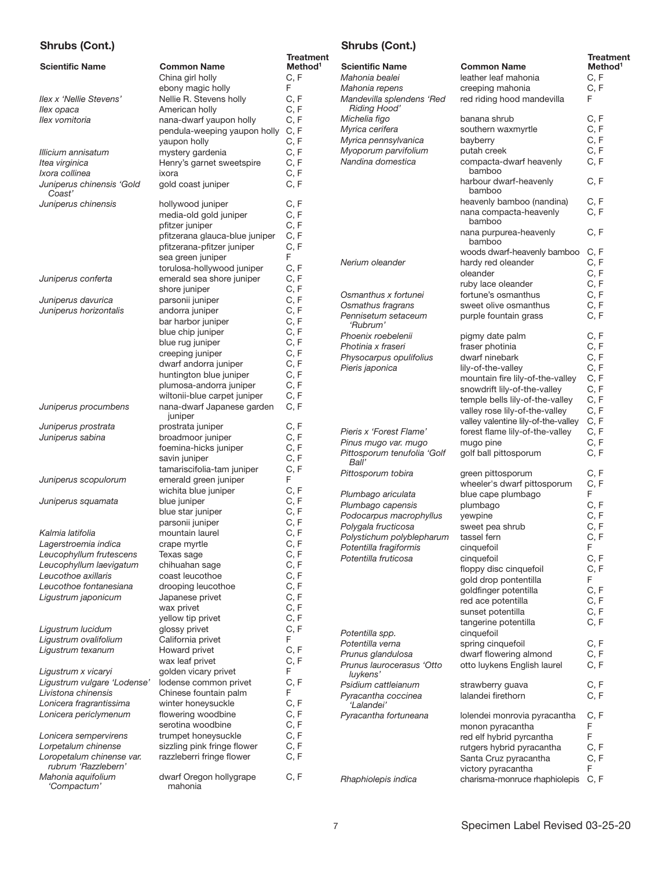## Shrubs (Cont.)

|                                           |                                       | <b>Treatment</b>    |
|-------------------------------------------|---------------------------------------|---------------------|
| <b>Scientific Name</b>                    | <b>Common Name</b>                    | Method <sup>1</sup> |
|                                           | China girl holly                      | C, F                |
|                                           | ebony magic holly                     | F                   |
| llex x 'Nellie Stevens'                   | Nellie R. Stevens holly               | C, F                |
| llex opaca                                | American holly                        | C, F                |
| llex vomitoria                            | nana-dwarf yaupon holly               | C, F                |
|                                           | pendula-weeping yaupon holly          | C, F                |
|                                           | yaupon holly                          | C, F                |
| Illicium annisatum                        | mystery gardenia                      | C, F                |
| Itea virginica                            | Henry's garnet sweetspire             | C, F                |
| Ixora collinea                            | ixora                                 | C, F                |
| Juniperus chinensis 'Gold<br>Coast'       | gold coast juniper                    | C, F                |
| Juniperus chinensis                       | hollywood juniper                     | C, F                |
|                                           | media-old gold juniper                | C, F                |
|                                           | pfitzer juniper                       | C, F                |
|                                           | pfitzerana glauca-blue juniper        | C, F                |
|                                           | pfitzerana-pfitzer juniper            | C, F                |
|                                           | sea green juniper                     | F                   |
|                                           | torulosa-hollywood juniper            | C, F                |
| Juniperus conferta                        | emerald sea shore juniper             | C, F                |
|                                           | shore juniper                         | C, F                |
| Juniperus davurica                        | parsonii juniper                      | C, F                |
| Juniperus horizontalis                    | andorra juniper                       | C, F                |
|                                           | bar harbor juniper                    | C, F                |
|                                           | blue chip juniper                     | C, F                |
|                                           | blue rug juniper                      | C, F                |
|                                           | creeping juniper                      | C, F                |
|                                           | dwarf andorra juniper                 | C, F                |
|                                           | huntington blue juniper               | C, F                |
|                                           | plumosa-andorra juniper               | C, F                |
|                                           | wiltonii-blue carpet juniper          | C, F                |
| Juniperus procumbens                      | nana-dwarf Japanese garden<br>juniper | C, F                |
| Juniperus prostrata                       | prostrata juniper                     | C, F                |
| Juniperus sabina                          | broadmoor juniper                     | C, F                |
|                                           | foemina-hicks juniper                 | C, F                |
|                                           | savin juniper                         | C, F                |
|                                           | tamariscifolia-tam juniper            | C, F                |
| Juniperus scopulorum                      | emerald green juniper                 | F                   |
|                                           | wichita blue juniper                  | C, F                |
| Juniperus squamata                        | blue juniper                          | C, F<br>C, F        |
|                                           | blue star juniper<br>parsonii juniper | C, F                |
| Kalmia latifolia                          | mountain laurel                       | C, F                |
| Lagerstroemia indica                      | crape myrtle                          | C, F                |
| Leucophyllum frutescens                   | Texas sage                            | C, F                |
| Leucophyllum laevigatum                   | chihuahan sage                        | C, F                |
| Leucothoe axillaris                       | coast leucothoe                       | C, F                |
| Leucothoe fontanesiana                    | drooping leucothoe                    | C, F                |
| Ligustrum japonicum                       | Japanese privet                       | C, F                |
|                                           | wax privet                            | C, F                |
|                                           | yellow tip privet                     | C, F                |
| Ligustrum lucidum                         | glossy privet                         | C, F                |
| Ligustrum ovalifolium                     | California privet                     | F                   |
| Ligustrum texanum                         | Howard privet                         | C, F                |
|                                           | wax leaf privet                       | C, F                |
| Ligustrum x vicaryi                       | golden vicary privet                  | F                   |
| Ligustrum vulgare 'Lodense'               | lodense common privet                 | C, F                |
| Livistona chinensis                       | Chinese fountain palm                 | F                   |
| Lonicera fragrantissima                   | winter honeysuckle                    | C, F                |
| Lonicera periclymenum                     | flowering woodbine                    | C, F                |
|                                           | serotina woodbine                     | C, F                |
| Lonicera sempervirens                     | trumpet honeysuckle                   | C, F                |
| Lorpetalum chinense                       | sizzling pink fringe flower           | C, F                |
| Loropetalum chinense var.                 | razzleberri fringe flower             | C, F                |
| rubrum 'Razzlebern'<br>Mahonia aquifolium |                                       | C, F                |
| 'Compactum'                               | dwarf Oregon hollygrape<br>mahonia    |                     |

## Shrubs (Cont.)

| <b>Scientific Name</b>                                      | <b>Common Name</b>                                         | <b>Treatment</b><br>Method <sup>1</sup> |
|-------------------------------------------------------------|------------------------------------------------------------|-----------------------------------------|
| Mahonia bealei                                              | leather leaf mahonia                                       | C, F                                    |
| Mahonia repens<br>Mandevilla splendens 'Red<br>Riding Hood' | creeping mahonia<br>red riding hood mandevilla             | C, F<br>F                               |
| Michelia figo                                               | banana shrub                                               | C, F                                    |
| Myrica cerifera                                             | southern waxmyrtle                                         | C, F                                    |
| Myrica pennsylvanica                                        | bayberry                                                   | C, F                                    |
| Myoporum parvifolium                                        | putah creek                                                | C, F                                    |
| Nandina domestica                                           | compacta-dwarf heavenly<br>bamboo                          | C, F                                    |
|                                                             | harbour dwarf-heavenly<br>bamboo                           | C, F                                    |
|                                                             | heavenly bamboo (nandina)                                  | C, F                                    |
|                                                             | nana compacta-heavenly<br>bamboo<br>nana purpurea-heavenly | C, F<br>C, F                            |
|                                                             | bamboo                                                     |                                         |
|                                                             | woods dwarf-heavenly bamboo                                | C, F                                    |
| Nerium oleander                                             | hardy red oleander                                         | C, F                                    |
|                                                             | oleander                                                   | C, F                                    |
|                                                             | ruby lace oleander                                         | C, F                                    |
| Osmanthus x fortunei                                        | fortune's osmanthus                                        | C, F                                    |
| Osmathus fragrans                                           | sweet olive osmanthus                                      | C, F                                    |
| Pennisetum setaceum<br>'Rubrum'                             | purple fountain grass                                      | C, F                                    |
| Phoenix roebelenii                                          | pigmy date palm                                            | C, F                                    |
| Photinia x fraseri                                          | fraser photinia                                            | C, F                                    |
| Physocarpus opulifolius                                     | dwarf ninebark                                             | C, F                                    |
| Pieris japonica                                             | lily-of-the-valley                                         | C, F                                    |
|                                                             | mountain fire lily-of-the-valley                           | C, F                                    |
|                                                             | snowdrift lily-of-the-valley                               | C, F                                    |
|                                                             | temple bells lily-of-the-valley                            | C, F                                    |
|                                                             | valley rose lily-of-the-valley                             | C, F                                    |
|                                                             | valley valentine lily-of-the-valley                        | C, F                                    |
| Pieris x 'Forest Flame'                                     | forest flame lily-of-the-valley                            | C, F                                    |
| Pinus mugo var. mugo                                        | mugo pine                                                  | C, F                                    |
| Pittosporum tenufolia 'Golf<br>Ball'                        | golf ball pittosporum                                      | C, F                                    |
| Pittosporum tobira                                          | green pittosporum                                          | C, F                                    |
|                                                             | wheeler's dwarf pittosporum                                | C, F                                    |
| Plumbago ariculata                                          | blue cape plumbago                                         | F                                       |
| Plumbago capensis                                           | plumbago                                                   | C, F                                    |
| Podocarpus macrophyllus                                     | yewpine                                                    | C, F                                    |
| Polygala fructicosa                                         | sweet pea shrub                                            | C, F                                    |
| Polystichum polyblepharum                                   | tassel fern                                                | C, F                                    |
| Potentilla fragiformis                                      | cinquefoil                                                 | F                                       |
| Potentilla fruticosa                                        | cinquefoil                                                 | C, F                                    |
|                                                             | floppy disc cinquefoil                                     | C, F                                    |
|                                                             | gold drop pontentilla                                      | F                                       |
|                                                             | goldfinger potentilla                                      | C, F                                    |
|                                                             | red ace potentilla                                         | C, F                                    |
|                                                             | sunset potentilla                                          | C, F                                    |
| Potentilla spp.                                             | tangerine potentilla<br>cinquefoil                         | C, F                                    |
| Potentilla verna                                            | spring cinquefoil                                          | C.F                                     |
| Prunus glandulosa<br>Prunus laurocerasus 'Otto<br>luykens'  | dwarf flowering almond<br>otto luykens English laurel      | C, F<br>C, F                            |
| Psidium cattleianum<br>Pyracantha coccinea<br>'Lalandei'    | strawberry guava<br>lalandei firethorn                     | C, F<br>C, F                            |
| Pyracantha fortuneana                                       | lolendei monrovia pyracantha                               | C, F                                    |
|                                                             | monon pyracantha                                           | F                                       |
|                                                             | red elf hybrid pyrcantha                                   | F                                       |
|                                                             | rutgers hybrid pyracantha                                  | C, F                                    |
|                                                             | Santa Cruz pyracantha                                      | C, F                                    |
|                                                             | victory pyracantha                                         | F                                       |
| Rhaphiolepis indica                                         | charisma-monruce rhaphiolepis                              | C, F                                    |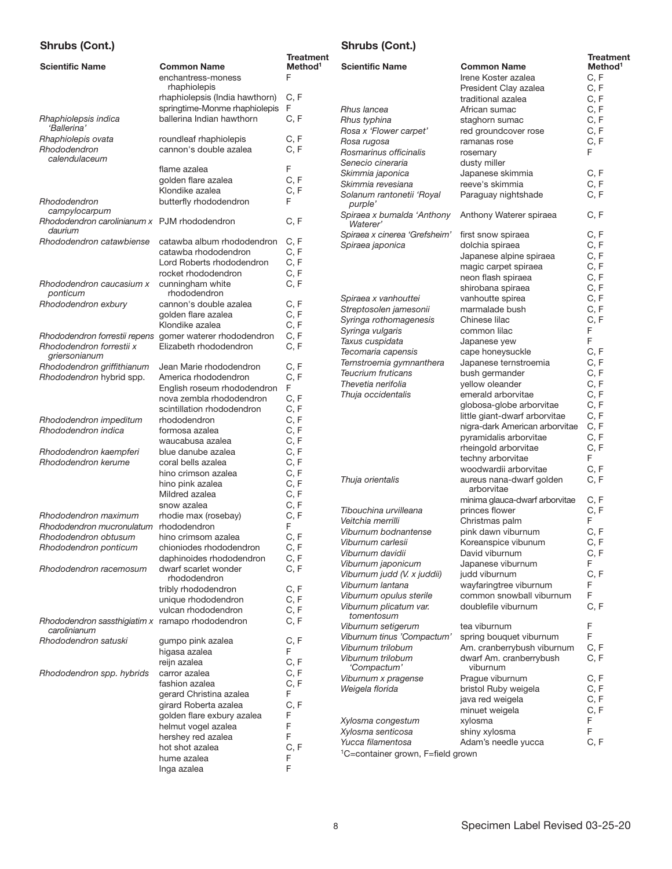## Shrubs (Cont.)

| <b>Scientific Name</b>                                           | <b>Common Name</b>                                                                 | Treatment<br>Method <sup>1</sup> |
|------------------------------------------------------------------|------------------------------------------------------------------------------------|----------------------------------|
|                                                                  | enchantress-moness<br>rhaphiolepis                                                 | F                                |
|                                                                  | rhaphiolepsis (India hawthorn)<br>springtime-Monme rhaphiolepis                    | C, F<br>F                        |
| Rhaphiolepsis indica<br>'Ballerina'                              | ballerina Indian hawthorn                                                          | C, F                             |
| Rhaphiolepis ovata                                               | roundleaf rhaphiolepis                                                             | C, F                             |
| Rhododendron<br>calendulaceum                                    | cannon's double azalea                                                             | C.F                              |
|                                                                  | flame azalea                                                                       | F                                |
|                                                                  | golden flare azalea                                                                | C, F                             |
|                                                                  | Klondike azalea                                                                    | C.F                              |
| Rhododendron<br>campylocarpum                                    | butterfly rhododendron                                                             | F                                |
| Rhododendron carolinianum x PJM rhododendron<br>daurium          |                                                                                    | C, F                             |
| Rhododendron catawbiense                                         | catawba album rhododendron                                                         | C, F                             |
|                                                                  | catawba rhododendron                                                               | C, F                             |
|                                                                  | Lord Roberts rhododendron                                                          | C, F                             |
|                                                                  | rocket rhododendron                                                                | C, F                             |
| Rhododendron caucasium x                                         | cunningham white                                                                   | C, F                             |
| ponticum                                                         | rhododendron                                                                       |                                  |
| Rhododendron exbury                                              | cannon's double azalea                                                             | C, F                             |
|                                                                  | golden flare azalea                                                                | C, F                             |
|                                                                  | Klondike azalea                                                                    | C, F                             |
| Rhododendron forrestii x<br>griersonianum                        | Rhododendron forrestii repens gomer waterer rhododendron<br>Elizabeth rhododendron | C, F<br>C, F                     |
| Rhododendron griffithianum                                       | Jean Marie rhododendron                                                            | C, F                             |
| Rhododendron hybrid spp.                                         | America rhododendron                                                               | C, F                             |
|                                                                  | English roseum rhododendron                                                        | F                                |
|                                                                  | nova zembla rhododendron                                                           | C, F                             |
|                                                                  | scintillation rhododendron                                                         | C, F                             |
| Rhododendron impeditum                                           | rhododendron                                                                       | C, F                             |
| Rhododendron indica                                              | formosa azalea                                                                     | C, F                             |
|                                                                  | waucabusa azalea<br>blue danube azalea                                             | C, F<br>C, F                     |
| Rhododendron kaempferi<br>Rhododendron kerume                    | coral bells azalea                                                                 | C, F                             |
|                                                                  | hino crimson azalea                                                                | C, F                             |
|                                                                  | hino pink azalea                                                                   | C, F                             |
|                                                                  | Mildred azalea                                                                     | C, F                             |
|                                                                  | snow azalea                                                                        | C, F                             |
| Rhododendron maximum                                             | rhodie max (rosebay)                                                               | C, F                             |
| Rhododendron mucronulatum                                        | rhododendron                                                                       | F                                |
| Rhododendron obtusum                                             | hino crimsom azalea                                                                | C, F                             |
| Rhododendron ponticum                                            | chioniodes rhododendron                                                            | C, F                             |
| Rhododendron racemosum                                           | daphinoides rhododendron<br>dwarf scarlet wonder                                   | C, F<br>C, F                     |
|                                                                  | rhododendron<br>tribly rhododendron                                                |                                  |
|                                                                  | unique rhododendron                                                                | C, F<br>C, F                     |
|                                                                  | vulcan rhododendron                                                                | C, F                             |
| Rhododendron sassthigiatim x ramapo rhododendron<br>carolinianum |                                                                                    | C, F                             |
| Rhododendron satuski                                             | gumpo pink azalea<br>higasa azalea                                                 | C, F<br>F                        |
|                                                                  | reijn azalea                                                                       | C, F                             |
| Rhododendron spp. hybrids                                        | carror azalea                                                                      | C, F                             |
|                                                                  | fashion azalea                                                                     | C, F                             |
|                                                                  | gerard Christina azalea                                                            | F                                |
|                                                                  | girard Roberta azalea                                                              | C, F                             |
|                                                                  | golden flare exbury azalea                                                         | F                                |
|                                                                  | helmut vogel azalea<br>hershey red azalea                                          | F<br>F                           |
|                                                                  | hot shot azalea                                                                    | C, F                             |
|                                                                  | hume azalea                                                                        | F                                |
|                                                                  | Inga azalea                                                                        | F                                |

## Shrubs (Cont.)

| ວາກ ແນວ (ບບກເ.)                                   |                                                       | <b>Treatment</b>    |
|---------------------------------------------------|-------------------------------------------------------|---------------------|
| <b>Scientific Name</b>                            | <b>Common Name</b>                                    | Method <sup>1</sup> |
|                                                   | Irene Koster azalea                                   | C.F                 |
|                                                   | President Clay azalea                                 | C, F                |
|                                                   | traditional azalea                                    | C, F                |
| Rhus lancea                                       | African sumac                                         | C, F                |
| Rhus typhina                                      | staghorn sumac                                        | C, F                |
| Rosa x 'Flower carpet'                            | red groundcover rose                                  | C, F                |
| Rosa rugosa                                       | ramanas rose                                          | C, F                |
| Rosmarinus officinalis                            | rosemary                                              | F                   |
| Senecio cineraria                                 | dusty miller                                          |                     |
| Skimmia japonica                                  | Japanese skimmia                                      | C, F                |
| Skimmia revesiana                                 | reeve's skimmia                                       | C, F                |
| Solanum rantonetii 'Royal<br>purple'              | Paraguay nightshade                                   | C, F                |
| Spiraea x bumalda 'Anthony<br>Waterer'            | Anthony Waterer spiraea                               | C, F                |
| Spiraea x cinerea 'Grefsheim'                     | first snow spiraea                                    | C.F                 |
| Spiraea japonica                                  | dolchia spiraea                                       | C, F                |
|                                                   | Japanese alpine spiraea                               | C, F                |
|                                                   | magic carpet spiraea                                  | C, F                |
|                                                   | neon flash spiraea                                    | C, F                |
|                                                   | shirobana spiraea                                     | C, F                |
| Spiraea x vanhouttei                              | vanhoutte spirea                                      | C, F                |
| Streptosolen jamesonii                            | marmalade bush                                        | C, F                |
| Syringa rothomagenesis                            | Chinese lilac                                         | C. F                |
| Syringa vulgaris                                  | common lilac                                          | F                   |
| Taxus cuspidata                                   | Japanese yew                                          | F                   |
| Tecomaria capensis                                | cape honeysuckle                                      | C, F                |
| Ternstroemia gymnanthera                          | Japanese ternstroemia                                 | C, F                |
| Teucrium fruticans                                | bush germander                                        | C, F                |
| Thevetia nerifolia                                | yellow oleander<br>emerald arborvitae                 | C, F<br>C, F        |
| Thuja occidentalis                                | globosa-globe arborvitae                              | C, F                |
|                                                   | little giant-dwarf arborvitae                         | C, F                |
|                                                   | nigra-dark American arborvitae                        | C, F                |
|                                                   | pyramidalis arborvitae                                | C, F                |
|                                                   | rheingold arborvitae                                  | C, F                |
|                                                   | techny arborvitae                                     | F                   |
|                                                   | woodwardii arborvitae                                 | C, F                |
| Thuja orientalis                                  | aureus nana-dwarf golden<br>arborvitae                | C, F                |
|                                                   | minima glauca-dwarf arborvitae                        | C, F                |
| Tibouchina urvilleana                             | princes flower                                        | C, F                |
| Veitchia merrilli                                 | Christmas palm                                        | F                   |
| Viburnum bodnantense                              | pink dawn viburnum                                    | C, F                |
| Viburnum carlesii                                 | Koreanspice vibunum                                   | C, F                |
| Viburnum davidii                                  | David viburnum                                        | C, F                |
| Viburnum japonicum                                | Japanese viburnum                                     | F                   |
| Viburnum judd (V. x juddii)                       | judd viburnum                                         | C, F                |
| Viburnum lantana                                  | wayfaringtree viburnum                                | F<br>F              |
| Viburnum opulus sterile<br>Viburnum plicatum var. | common snowball viburnum<br>doublefile viburnum       | C, F                |
| tomentosum                                        |                                                       |                     |
| Viburnum setigerum<br>Viburnum tinus 'Compactum'  | tea viburnum                                          | F<br>F              |
| Viburnum trilobum                                 | spring bouquet viburnum<br>Am. cranberrybush viburnum | C, F                |
| Viburnum trilobum                                 | dwarf Am. cranberrybush                               | C, F                |
| 'Compactum'                                       | viburnum                                              |                     |
| Viburnum x pragense<br>Weigela florida            | Prague viburnum                                       | C, F<br>C, F        |
|                                                   | bristol Ruby weigela<br>java red weigela              | C, F                |
|                                                   | minuet weigela                                        | C, F                |
| Xylosma congestum                                 | xylosma                                               | F                   |
| Xylosma senticosa                                 | shiny xylosma                                         | F                   |
| Yucca filamentosa                                 | Adam's needle yucca                                   | C, F                |
| <sup>1</sup> C=container grown, F=field grown     |                                                       |                     |
|                                                   |                                                       |                     |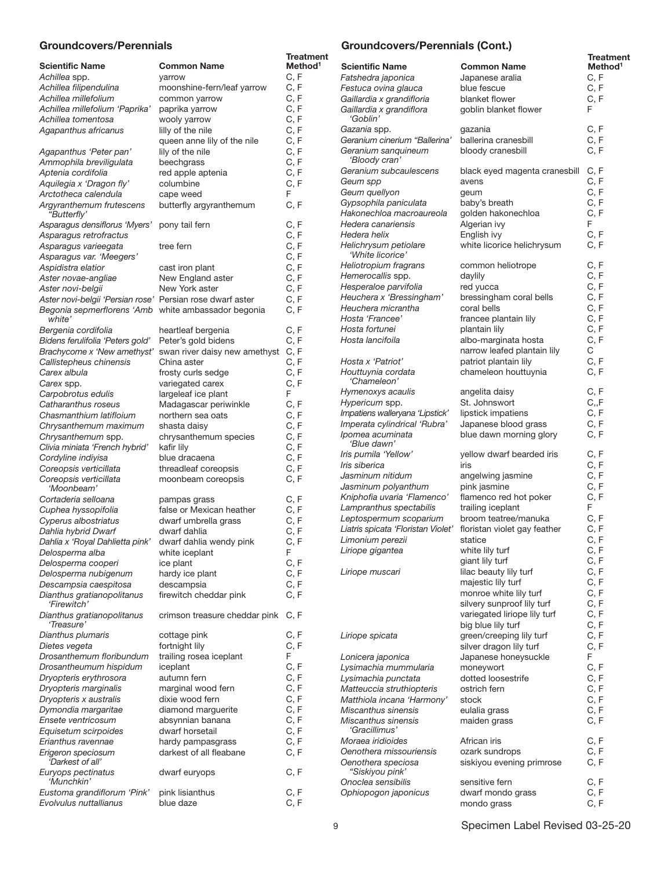## Groundcovers/Perennials

|                                                                            |                                                 | Treatment<br>Method <sup>1</sup> |
|----------------------------------------------------------------------------|-------------------------------------------------|----------------------------------|
| <b>Scientific Name</b><br>Achillea spp.                                    | <b>Common Name</b><br>yarrow                    | C, F                             |
| Achillea filipendulina                                                     | moonshine-fern/leaf yarrow                      | C, F                             |
| Achillea millefolium                                                       | common yarrow                                   | C, F                             |
| Achillea millefolium 'Paprika'                                             | paprika yarrow                                  | C, F                             |
| Achillea tomentosa                                                         | wooly yarrow                                    | C, F                             |
| Agapanthus africanus                                                       | lilly of the nile                               | C, F                             |
|                                                                            | queen anne lily of the nile<br>lily of the nile | C, F<br>C, F                     |
| Agapanthus 'Peter pan'<br>Ammophila breviligulata                          | beechgrass                                      | C, F                             |
| Aptenia cordifolia                                                         | red apple aptenia                               | C, F                             |
| Aquilegia x 'Dragon fly'                                                   | columbine                                       | C, F                             |
| Arctotheca calendula                                                       | cape weed                                       | F                                |
| Argyranthemum frutescens<br>"Butterfly'                                    | butterfly argyranthemum                         | C, F                             |
| Asparagus densiflorus 'Myers'<br>Asparagus retrofractus                    | pony tail fern                                  | C, F<br>C, F                     |
| Asparagus varieegata                                                       | tree fern                                       | C, F                             |
| Asparagus var. 'Meegers'                                                   |                                                 | C, F                             |
| Aspidistra elatior                                                         | cast iron plant                                 | C, F                             |
| Aster novae-angliae<br>Aster novi-belgii                                   | New England aster<br>New York aster             | C, F<br>C, F                     |
| Aster novi-belgii 'Persian rose' Persian rose dwarf aster                  |                                                 | C, F                             |
| Begonia sepmerflorens 'Amb white ambassador begonia<br>white'              |                                                 | C, F                             |
| Bergenia cordifolia                                                        | heartleaf bergenia                              | C, F                             |
| Bidens ferulifolia 'Peters gold'                                           | Peter's gold bidens                             | C, F                             |
| Brachycome x 'New amethyst'                                                | swan river daisy new amethyst                   | C, F                             |
| Callistepheus chinensis                                                    | China aster                                     | C, F                             |
| Carex albula                                                               | frosty curls sedge                              | C, F<br>C, F                     |
| Carex spp.<br>Carpobrotus edulis                                           | variegated carex<br>largeleaf ice plant         | F                                |
| Catharanthus roseus                                                        | Madagascar periwinkle                           | C, F                             |
| Chasmanthium latifloium                                                    | northern sea oats                               | C, F                             |
| Chrysanthemum maximum                                                      | shasta daisy                                    | C, F                             |
| Chrysanthemum spp.                                                         | chrysanthemum species                           | C, F                             |
| Clivia miniata 'French hybrid'                                             | kafir lily                                      | C, F                             |
| Cordyline indiyisa<br>Coreopsis verticillata                               | blue dracaena<br>threadleaf coreopsis           | C, F<br>C, F                     |
| Coreopsis verticillata<br>'Moonbeam'                                       | moonbeam coreopsis                              | C, F                             |
| Cortaderia selloana                                                        | pampas grass                                    | C, F                             |
| Cuphea hyssopifolia                                                        | false or Mexican heather                        | C, F                             |
| Cyperus albostriatus                                                       | dwarf umbrella grass                            | C, F                             |
| Dahlia hybrid Dwarf                                                        | dwarf dahlia                                    | C, F                             |
| Dahlia x 'Royal Dahlietta pink' dwarf dahlia wendy pink<br>Delosperma alba | white iceplant                                  | C, F<br>F                        |
| Delosperma cooperi                                                         | ice plant                                       | C, F                             |
| Delosperma nubigenum                                                       | hardy ice plant                                 | C, F                             |
| Descampsia caespitosa                                                      | descampsia                                      | C, F                             |
| Dianthus gratianopolitanus<br>'Firewitch'                                  | firewitch cheddar pink                          | C, F                             |
| Dianthus gratianopolitanus<br>'Treasure'                                   | crimson treasure cheddar pink                   | C, F                             |
| Dianthus plumaris<br>Dietes vegeta                                         | cottage pink<br>fortnight lily                  | C, F<br>C, F                     |
| Drosanthemum floribundum                                                   | trailing rosea iceplant                         | F.                               |
| Drosantheumum hispidum                                                     | iceplant                                        | C, F                             |
| Dryopteris erythrosora                                                     | autumn fern                                     | C, F                             |
| Dryopteris marginalis                                                      | marginal wood fern                              | C, F                             |
| Dryopteris x australis                                                     | dixie wood fern                                 | C, F                             |
| Dymondia margaritae                                                        | diamond marguerite                              | C, F<br>C, F                     |
| Ensete ventricosum<br>Equisetum scirpoides                                 | absynnian banana<br>dwarf horsetail             | C, F                             |
| Erianthus ravennae                                                         | hardy pampasgrass                               | C, F                             |
| Erigeron speciosum                                                         | darkest of all fleabane                         | C, F                             |
| 'Darkest of all'<br>Euryops pectinatus                                     | dwarf euryops                                   | C, F                             |
| 'Munchkin'                                                                 |                                                 |                                  |
| Eustoma grandiflorum 'Pink'<br>Evolvulus nuttallianus                      | pink lisianthus<br>blue daze                    | C, F<br>C, F                     |
|                                                                            |                                                 |                                  |

## Groundcovers/Perennials (Cont.)

|                                             |                               | <b>Treatment</b>            |
|---------------------------------------------|-------------------------------|-----------------------------|
| <b>Scientific Name</b>                      | <b>Common Name</b>            | Method <sup>1</sup><br>C, F |
| Fatshedra japonica                          | Japanese aralia               |                             |
| Festuca ovina glauca                        | blue fescue                   | C, F                        |
| Gaillardia x grandifloria                   | blanket flower                | C, F                        |
| Gaillardia x grandiflora<br><i>'Goblin'</i> | goblin blanket flower         | F                           |
| Gazania spp.                                | gazania                       | C, F                        |
| Geranium cinerium "Ballerina"               | ballerina cranesbill          | C.F                         |
| Geranium sanquineum<br>'Bloody cran'        | bloody cranesbill             | C, F                        |
| Geranium subcaulescens                      | black eyed magenta cranesbill | C, F                        |
| Geum spp                                    | avens                         | C, F                        |
| Geum quellyon                               | geum                          | C, F                        |
| Gypsophila paniculata                       | baby's breath                 | C, F                        |
| Hakonechloa macroaureola                    | golden hakonechloa            | C, F                        |
| Hedera canariensis                          | Algerian ivy                  | F                           |
| Hedera helix                                | English ivy                   | C, F                        |
| Helichrysum petiolare<br>'White licorice'   | white licorice helichrysum    | C, F                        |
| Heliotropium fragrans                       | common heliotrope             | C.F                         |
| Hemerocallis spp.                           | daylily                       | C.F                         |
| Hesperaloe parvifolia                       | red yucca                     | C, F                        |
| Heuchera x 'Bressingham'                    | bressingham coral bells       | C, F                        |
| Heuchera micrantha                          | coral bells                   | C, F                        |
| Hosta 'Francee'                             | francee plantain lily         | C, F                        |
| Hosta fortunei                              | plantain lily                 | C, F                        |
| Hosta lancifoila                            | albo-marginata hosta          | C, F                        |
|                                             | narrow leafed plantain lily   | С                           |
| Hosta x 'Patriot'                           | patriot plantain lily         | C, F                        |
| Houttuynia cordata<br>'Chameleon'           | chameleon houttuynia          | C, F                        |
| Hymenoxys acaulis                           | angelita daisy                | C, F                        |
| <i>Hypericum</i> spp.                       | St. Johnswort                 | C, F                        |
| Impatiens walleryana 'Lipstick'             | lipstick impatiens            | C, F                        |
| Imperata cylindrical 'Rubra'                | Japanese blood grass          | C, F                        |
| Ipomea acuminata<br>'Blue dawn'             | blue dawn morning glory       | C, F                        |
| Iris pumila 'Yellow'                        | yellow dwarf bearded iris     | C, F                        |
| Iris siberica                               | iris                          | C, F                        |
| Jasminum nitidum                            | angelwing jasmine             | C, F                        |
| Jasminum polyanthum                         | pink jasmine                  | C, F                        |
| Kniphofia uvaria 'Flamenco'                 | flamenco red hot poker        | C.F                         |
| Lampranthus spectabilis                     | trailing iceplant             | F                           |
| Leptospermum scoparium                      | broom teatree/manuka          | C, F                        |
| Liatris spicata 'Floristan Violet'          | floristan violet gay feather  | C, F                        |
| Limonium perezii                            | statice                       | C, F                        |
| Liriope gigantea                            | white lily turf               | C, F                        |
|                                             | giant lily turf               | C, F                        |
| Liriope muscari                             | lilac beauty lily turf        | C, F                        |
|                                             | majestic lily turf            | C, F                        |
|                                             | monroe white lily turf        | C, F                        |
|                                             | silvery sunproof lily turf    | C, F                        |
|                                             | variegated liriope lily turf  | C, F                        |
|                                             | big blue lily turf            | C, F                        |
| Liriope spicata                             | green/creeping lily turf      | C, F                        |
|                                             | silver dragon lily turf       | C, F                        |
| Lonicera japonica                           | Japanese honeysuckle          | F                           |
| Lysimachia mummularia                       | moneywort                     | C, F                        |
| Lysimachia punctata                         | dotted loosestrife            | C, F                        |
| Matteuccia struthiopteris                   | ostrich fern                  | C, F                        |
| Matthiola incana 'Harmony'                  | stock                         | C, F                        |
| Miscanthus sinensis                         | eulalia grass                 | C, F                        |
| Miscanthus sinensis<br>'Gracillimus'        | maiden grass                  | C, F                        |
| Moraea iridioides                           | African iris                  | C, F                        |
| Oenothera missouriensis                     | ozark sundrops                | C, F                        |
| Oenothera speciosa<br>"Siskiyou pink'       | siskiyou evening primrose     | C, F                        |
| Onoclea sensibilis                          | sensitive fern                | C, F                        |
| Ophiopogon japonicus                        | dwarf mondo grass             | C, F                        |
|                                             | mondo grass                   | C, F                        |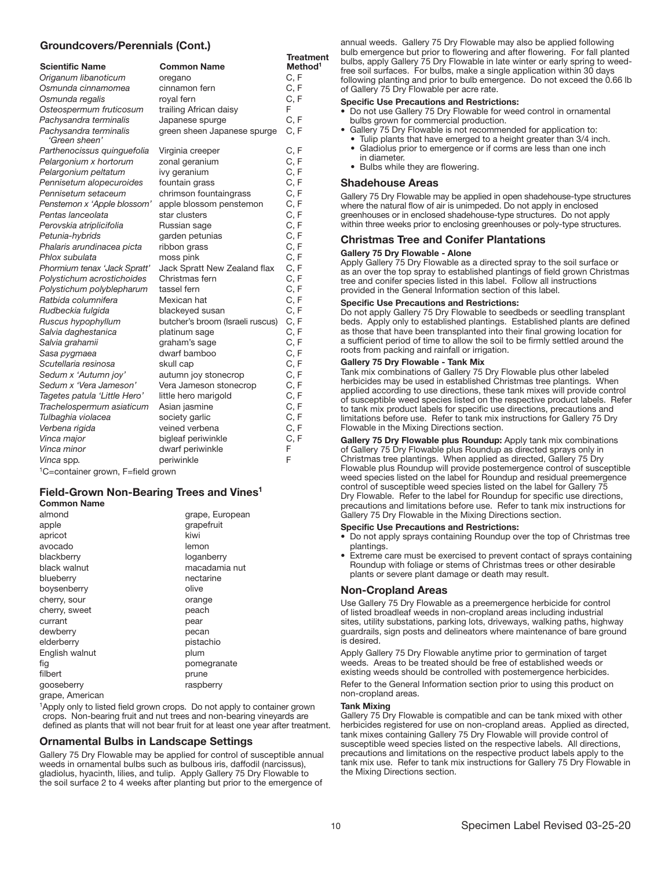## Groundcovers/Perennials (Cont.)

|                                               |                                  | <b>Treatment</b>    |
|-----------------------------------------------|----------------------------------|---------------------|
| <b>Scientific Name</b>                        | <b>Common Name</b>               | Method <sup>1</sup> |
| Origanum libanoticum                          | oregano                          | C, F                |
| Osmunda cinnamomea                            | cinnamon fern                    | C, F                |
| Osmunda regalis                               | royal fern                       | C, F                |
| Osteospermum fruticosum                       | trailing African daisy           | F                   |
| Pachysandra terminalis                        | Japanese spurge                  | C, F                |
| Pachysandra terminalis<br>'Green sheen'       | green sheen Japanese spurge      | C, F                |
| Parthenocissus quinquefolia                   | Virginia creeper                 | C, F                |
| Pelargonium x hortorum                        | zonal geranium                   | C, F                |
| Pelargonium peltatum                          | ivy geranium                     | C, F                |
| Pennisetum alopecuroides                      | fountain grass                   | C, F                |
| Pennisetum setaceum                           | chrimson fountaingrass           | C, F                |
| Penstemon x 'Apple blossom'                   | apple blossom penstemon          | C, F                |
| Pentas lanceolata                             | star clusters                    | C, F                |
| Perovskia atriplicifolia                      | Russian sage                     | C, F                |
| Petunia-hybrids                               | garden petunias                  | C, F                |
| Phalaris arundinacea picta                    | ribbon grass                     | C, F                |
| Phlox subulata                                | moss pink                        | C, F                |
| Phormium tenax 'Jack Spratt'                  | Jack Spratt New Zealand flax     | C, F                |
| Polystichum acrostichoides                    | Christmas fern                   | C, F                |
| Polystichum polyblepharum                     | tassel fern                      | C, F                |
| Ratbida columnifera                           | Mexican hat                      | C, F                |
| Rudbeckia fulgida                             | blackeyed susan                  | C, F                |
| Ruscus hypophyllum                            | butcher's broom (Israeli ruscus) | C, F                |
| Salvia daghestanica                           | platinum sage                    | C, F                |
| Salvia grahamii                               | graham's sage                    | C, F                |
| Sasa pygmaea                                  | dwarf bamboo                     | C, F                |
| Scutellaria resinosa                          | skull cap                        | C, F                |
| Sedum x 'Autumn joy'                          | autumn joy stonecrop             | C, F                |
| Sedum x 'Vera Jameson'                        | Vera Jameson stonecrop           | C, F                |
| Tagetes patula 'Little Hero'                  | little hero marigold             | C, F                |
| Trachelospermum asiaticum                     | Asian jasmine                    | C, F                |
| Tulbaghia violacea                            | society garlic                   | C, F                |
| Verbena rigida                                | veined verbena                   | C, F                |
| Vinca major                                   | bigleaf periwinkle               | C, F                |
| Vinca minor                                   | dwarf periwinkle                 | F                   |
| Vinca spp.                                    | periwinkle                       | F                   |
| <sup>1</sup> C=container grown, F=field grown |                                  |                     |

## Field-Grown Non-Bearing Trees and Vines<sup>1</sup>

| <b>Common Name</b> |                 |
|--------------------|-----------------|
| almond             | grape, European |
| apple              | grapefruit      |
| apricot            | kiwi            |
| avocado            | lemon           |
| blackberry         | loganberry      |
| black walnut       | macadamia nut   |
| blueberry          | nectarine       |
| boysenberry        | olive           |
| cherry, sour       | orange          |
| cherry, sweet      | peach           |
| currant            | pear            |
| dewberry           | pecan           |
| elderberry         | pistachio       |
| English walnut     | plum            |
| fig                | pomegranate     |
| filbert            | prune           |
| gooseberry         | raspberry       |
|                    |                 |

grape, American

<sup>1</sup>Apply only to listed field grown crops. Do not apply to container grown crops. Non-bearing fruit and nut trees and non-bearing vineyards are defined as plants that will not bear fruit for at least one year after treatment.

#### Ornamental Bulbs in Landscape Settings

Gallery 75 Dry Flowable may be applied for control of susceptible annual weeds in ornamental bulbs such as bulbous iris, daffodil (narcissus), gladiolus, hyacinth, lilies, and tulip. Apply Gallery 75 Dry Flowable to the soil surface 2 to 4 weeks after planting but prior to the emergence of

annual weeds. Gallery 75 Dry Flowable may also be applied following bulb emergence but prior to flowering and after flowering. For fall planted bulbs, apply Gallery 75 Dry Flowable in late winter or early spring to weedfree soil surfaces. For bulbs, make a single application within 30 days following planting and prior to bulb emergence. Do not exceed the 0.66 lb of Gallery 75 Dry Flowable per acre rate.

#### Specific Use Precautions and Restrictions:

- Do not use Gallery 75 Dry Flowable for weed control in ornamental bulbs grown for commercial production.
- Gallery 75 Dry Flowable is not recommended for application to:
	- Tulip plants that have emerged to a height greater than 3/4 inch. • Gladiolus prior to emergence or if corms are less than one inch in diameter.
	- Bulbs while they are flowering.

#### Shadehouse Areas

Gallery 75 Dry Flowable may be applied in open shadehouse-type structures where the natural flow of air is unimpeded. Do not apply in enclosed greenhouses or in enclosed shadehouse-type structures. Do not apply within three weeks prior to enclosing greenhouses or poly-type structures.

## Christmas Tree and Conifer Plantations

#### Gallery 75 Dry Flowable - Alone

Apply Gallery 75 Dry Flowable as a directed spray to the soil surface or as an over the top spray to established plantings of field grown Christmas tree and conifer species listed in this label. Follow all instructions provided in the General Information section of this label.

#### Specific Use Precautions and Restrictions:

Do not apply Gallery 75 Dry Flowable to seedbeds or seedling transplant beds. Apply only to established plantings. Established plants are defined as those that have been transplanted into their final growing location for a sufficient period of time to allow the soil to be firmly settled around the roots from packing and rainfall or irrigation.

#### Gallery 75 Dry Flowable - Tank Mix

Tank mix combinations of Gallery 75 Dry Flowable plus other labeled herbicides may be used in established Christmas tree plantings. When applied according to use directions, these tank mixes will provide control of susceptible weed species listed on the respective product labels. Refer to tank mix product labels for specific use directions, precautions and limitations before use. Refer to tank mix instructions for Gallery 75 Dry Flowable in the Mixing Directions section.

Gallery 75 Dry Flowable plus Roundup: Apply tank mix combinations of Gallery 75 Dry Flowable plus Roundup as directed sprays only in Christmas tree plantings. When applied as directed, Gallery 75 Dry Flowable plus Roundup will provide postemergence control of susceptible weed species listed on the label for Roundup and residual preemergence control of susceptible weed species listed on the label for Gallery 75 Dry Flowable. Refer to the label for Roundup for specific use directions, precautions and limitations before use. Refer to tank mix instructions for Gallery 75 Dry Flowable in the Mixing Directions section.

#### Specific Use Precautions and Restrictions:

- Do not apply sprays containing Roundup over the top of Christmas tree plantings.
- Extreme care must be exercised to prevent contact of sprays containing Roundup with foliage or stems of Christmas trees or other desirable plants or severe plant damage or death may result.

#### Non-Cropland Areas

Use Gallery 75 Dry Flowable as a preemergence herbicide for control of listed broadleaf weeds in non-cropland areas including industrial sites, utility substations, parking lots, driveways, walking paths, highway guardrails, sign posts and delineators where maintenance of bare ground is desired.

Apply Gallery 75 Dry Flowable anytime prior to germination of target weeds. Areas to be treated should be free of established weeds or existing weeds should be controlled with postemergence herbicides.

Refer to the General Information section prior to using this product on non-cropland areas.

#### Tank Mixing

Gallery 75 Dry Flowable is compatible and can be tank mixed with other herbicides registered for use on non-cropland areas. Applied as directed, tank mixes containing Gallery 75 Dry Flowable will provide control of susceptible weed species listed on the respective labels. All directions, precautions and limitations on the respective product labels apply to the tank mix use. Refer to tank mix instructions for Gallery 75 Dry Flowable in the Mixing Directions section.